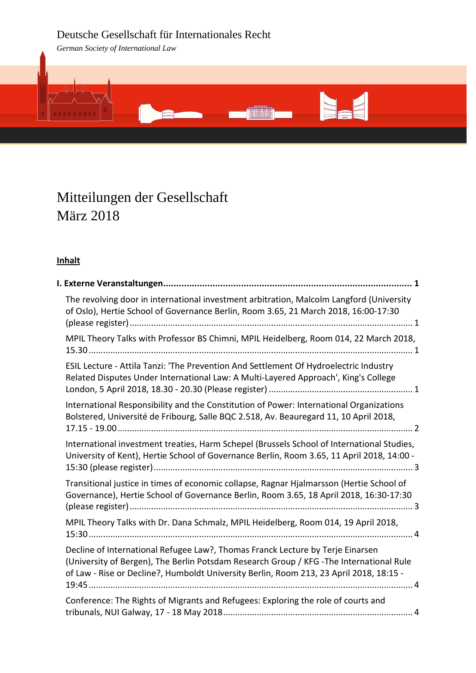# Deutsche Gesellschaft für Internationales Recht

*German Society of International Law*



# Mitteilungen der Gesellschaft März 2018

# **Inhalt**

| The revolving door in international investment arbitration, Malcolm Langford (University<br>of Oslo), Hertie School of Governance Berlin, Room 3.65, 21 March 2018, 16:00-17:30                                                                                       |  |  |
|-----------------------------------------------------------------------------------------------------------------------------------------------------------------------------------------------------------------------------------------------------------------------|--|--|
| MPIL Theory Talks with Professor BS Chimni, MPIL Heidelberg, Room 014, 22 March 2018,                                                                                                                                                                                 |  |  |
| ESIL Lecture - Attila Tanzi: 'The Prevention And Settlement Of Hydroelectric Industry<br>Related Disputes Under International Law: A Multi-Layered Approach', King's College                                                                                          |  |  |
| International Responsibility and the Constitution of Power: International Organizations<br>Bolstered, Université de Fribourg, Salle BQC 2.518, Av. Beauregard 11, 10 April 2018,                                                                                      |  |  |
| International investment treaties, Harm Schepel (Brussels School of International Studies,<br>University of Kent), Hertie School of Governance Berlin, Room 3.65, 11 April 2018, 14:00 -                                                                              |  |  |
| Transitional justice in times of economic collapse, Ragnar Hjalmarsson (Hertie School of<br>Governance), Hertie School of Governance Berlin, Room 3.65, 18 April 2018, 16:30-17:30                                                                                    |  |  |
| MPIL Theory Talks with Dr. Dana Schmalz, MPIL Heidelberg, Room 014, 19 April 2018,                                                                                                                                                                                    |  |  |
| Decline of International Refugee Law?, Thomas Franck Lecture by Terje Einarsen<br>(University of Bergen), The Berlin Potsdam Research Group / KFG - The International Rule<br>of Law - Rise or Decline?, Humboldt University Berlin, Room 213, 23 April 2018, 18:15 - |  |  |
| Conference: The Rights of Migrants and Refugees: Exploring the role of courts and                                                                                                                                                                                     |  |  |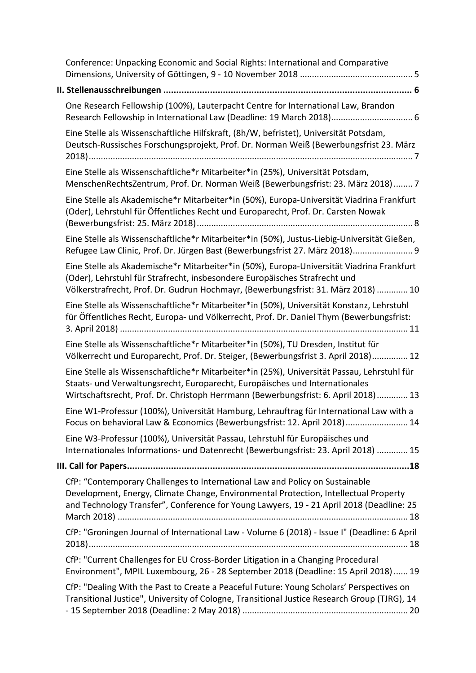| Conference: Unpacking Economic and Social Rights: International and Comparative                                                                                                                                                                                  |
|------------------------------------------------------------------------------------------------------------------------------------------------------------------------------------------------------------------------------------------------------------------|
|                                                                                                                                                                                                                                                                  |
| One Research Fellowship (100%), Lauterpacht Centre for International Law, Brandon<br>Research Fellowship in International Law (Deadline: 19 March 2018) 6                                                                                                        |
| Eine Stelle als Wissenschaftliche Hilfskraft, (8h/W, befristet), Universität Potsdam,<br>Deutsch-Russisches Forschungsprojekt, Prof. Dr. Norman Weiß (Bewerbungsfrist 23. März                                                                                   |
| Eine Stelle als Wissenschaftliche*r Mitarbeiter*in (25%), Universität Potsdam,<br>MenschenRechtsZentrum, Prof. Dr. Norman Weiß (Bewerbungsfrist: 23. März 2018) 7                                                                                                |
| Eine Stelle als Akademische*r Mitarbeiter*in (50%), Europa-Universität Viadrina Frankfurt<br>(Oder), Lehrstuhl für Öffentliches Recht und Europarecht, Prof. Dr. Carsten Nowak                                                                                   |
| Eine Stelle als Wissenschaftliche*r Mitarbeiter*in (50%), Justus-Liebig-Universität Gießen,<br>Refugee Law Clinic, Prof. Dr. Jürgen Bast (Bewerbungsfrist 27. März 2018) 9                                                                                       |
| Eine Stelle als Akademische*r Mitarbeiter*in (50%), Europa-Universität Viadrina Frankfurt<br>(Oder), Lehrstuhl für Strafrecht, insbesondere Europäisches Strafrecht und<br>Völkerstrafrecht, Prof. Dr. Gudrun Hochmayr, (Bewerbungsfrist: 31. März 2018)  10     |
| Eine Stelle als Wissenschaftliche*r Mitarbeiter*in (50%), Universität Konstanz, Lehrstuhl<br>für Öffentliches Recht, Europa- und Völkerrecht, Prof. Dr. Daniel Thym (Bewerbungsfrist:                                                                            |
| Eine Stelle als Wissenschaftliche*r Mitarbeiter*in (50%), TU Dresden, Institut für<br>Völkerrecht und Europarecht, Prof. Dr. Steiger, (Bewerbungsfrist 3. April 2018) 12                                                                                         |
| Eine Stelle als Wissenschaftliche*r Mitarbeiter*in (25%), Universität Passau, Lehrstuhl für<br>Staats- und Verwaltungsrecht, Europarecht, Europäisches und Internationales<br>Wirtschaftsrecht, Prof. Dr. Christoph Herrmann (Bewerbungsfrist: 6. April 2018) 13 |
| Eine W1-Professur (100%), Universität Hamburg, Lehrauftrag für International Law with a<br>Focus on behavioral Law & Economics (Bewerbungsfrist: 12. April 2018) 14                                                                                              |
| Eine W3-Professur (100%), Universität Passau, Lehrstuhl für Europäisches und<br>Internationales Informations- und Datenrecht (Bewerbungsfrist: 23. April 2018)  15                                                                                               |
|                                                                                                                                                                                                                                                                  |
| CfP: "Contemporary Challenges to International Law and Policy on Sustainable<br>Development, Energy, Climate Change, Environmental Protection, Intellectual Property<br>and Technology Transfer", Conference for Young Lawyers, 19 - 21 April 2018 (Deadline: 25 |
| CfP: "Groningen Journal of International Law - Volume 6 (2018) - Issue I" (Deadline: 6 April                                                                                                                                                                     |
| CfP: "Current Challenges for EU Cross-Border Litigation in a Changing Procedural<br>Environment", MPIL Luxembourg, 26 - 28 September 2018 (Deadline: 15 April 2018)  19                                                                                          |
| CfP: "Dealing With the Past to Create a Peaceful Future: Young Scholars' Perspectives on<br>Transitional Justice", University of Cologne, Transitional Justice Research Group (TJRG), 14                                                                         |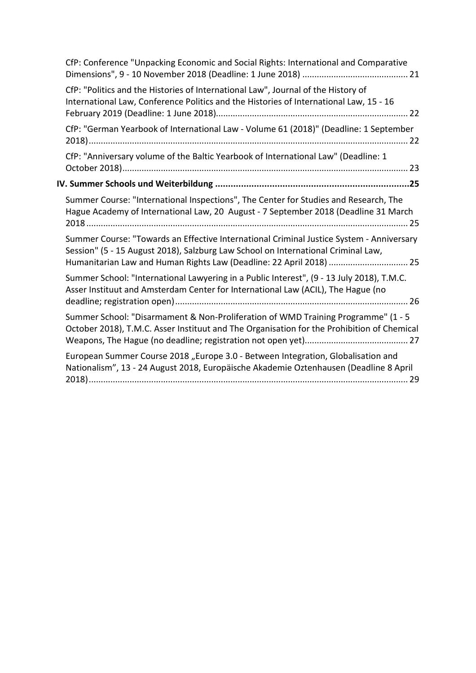| CfP: Conference "Unpacking Economic and Social Rights: International and Comparative                                                                                                                                                                 |  |  |
|------------------------------------------------------------------------------------------------------------------------------------------------------------------------------------------------------------------------------------------------------|--|--|
| CfP: "Politics and the Histories of International Law", Journal of the History of<br>International Law, Conference Politics and the Histories of International Law, 15 - 16                                                                          |  |  |
| CfP: "German Yearbook of International Law - Volume 61 (2018)" (Deadline: 1 September                                                                                                                                                                |  |  |
| CfP: "Anniversary volume of the Baltic Yearbook of International Law" (Deadline: 1                                                                                                                                                                   |  |  |
|                                                                                                                                                                                                                                                      |  |  |
| Summer Course: "International Inspections", The Center for Studies and Research, The<br>Hague Academy of International Law, 20 August - 7 September 2018 (Deadline 31 March                                                                          |  |  |
| Summer Course: "Towards an Effective International Criminal Justice System - Anniversary<br>Session" (5 - 15 August 2018), Salzburg Law School on International Criminal Law,<br>Humanitarian Law and Human Rights Law (Deadline: 22 April 2018)  25 |  |  |
| Summer School: "International Lawyering in a Public Interest", (9 - 13 July 2018), T.M.C.<br>Asser Instituut and Amsterdam Center for International Law (ACIL), The Hague (no                                                                        |  |  |
| Summer School: "Disarmament & Non-Proliferation of WMD Training Programme" (1 - 5<br>October 2018), T.M.C. Asser Instituut and The Organisation for the Prohibition of Chemical                                                                      |  |  |
| European Summer Course 2018 "Europe 3.0 - Between Integration, Globalisation and<br>Nationalism", 13 - 24 August 2018, Europäische Akademie Oztenhausen (Deadline 8 April                                                                            |  |  |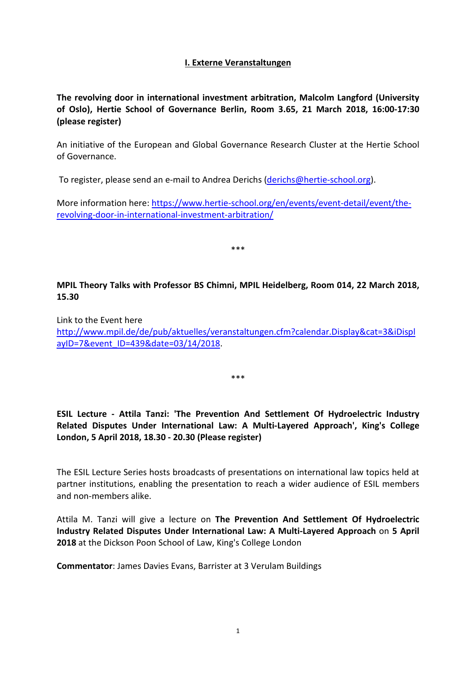# **I. Externe Veranstaltungen**

<span id="page-3-1"></span><span id="page-3-0"></span>**The revolving door in international investment arbitration, Malcolm Langford (University of Oslo), Hertie School of Governance Berlin, Room 3.65, 21 March 2018, 16:00-17:30 (please register)**

An initiative of the European and Global Governance Research Cluster at the Hertie School of Governance.

To register, please send an e-mail to Andrea Derichs [\(derichs@hertie-school.org\)](mailto:derichs@hertie-school.org).

More information here: [https://www.hertie-school.org/en/events/event-detail/event/the](https://www.hertie-school.org/en/events/event-detail/event/the-revolving-door-in-international-investment-arbitration/)[revolving-door-in-international-investment-arbitration/](https://www.hertie-school.org/en/events/event-detail/event/the-revolving-door-in-international-investment-arbitration/)

\*\*\*

<span id="page-3-2"></span>**MPIL Theory Talks with Professor BS Chimni, MPIL Heidelberg, Room 014, 22 March 2018, 15.30**

Link to the Event here [http://www.mpil.de/de/pub/aktuelles/veranstaltungen.cfm?calendar.Display&cat=3&iDispl](http://www.mpil.de/de/pub/aktuelles/veranstaltungen.cfm?calendar.Display&cat=3&iDisplayID=7&event_ID=439&date=03/14/2018) [ayID=7&event\\_ID=439&date=03/14/2018.](http://www.mpil.de/de/pub/aktuelles/veranstaltungen.cfm?calendar.Display&cat=3&iDisplayID=7&event_ID=439&date=03/14/2018)

\*\*\*

# <span id="page-3-3"></span>**ESIL Lecture - Attila Tanzi: 'The Prevention And Settlement Of Hydroelectric Industry Related Disputes Under International Law: A Multi-Layered Approach', King's College London, 5 April 2018, 18.30 - 20.30 (Please register)**

The ESIL Lecture Series hosts broadcasts of presentations on international law topics held at partner institutions, enabling the presentation to reach a wider audience of ESIL members and non-members alike.

Attila M. Tanzi will give a lecture on **The Prevention And Settlement Of Hydroelectric Industry Related Disputes Under International Law: A Multi-Layered Approach** on **5 April 2018** at the Dickson Poon School of Law, King's College London

**Commentator**: James Davies Evans, Barrister at 3 Verulam Buildings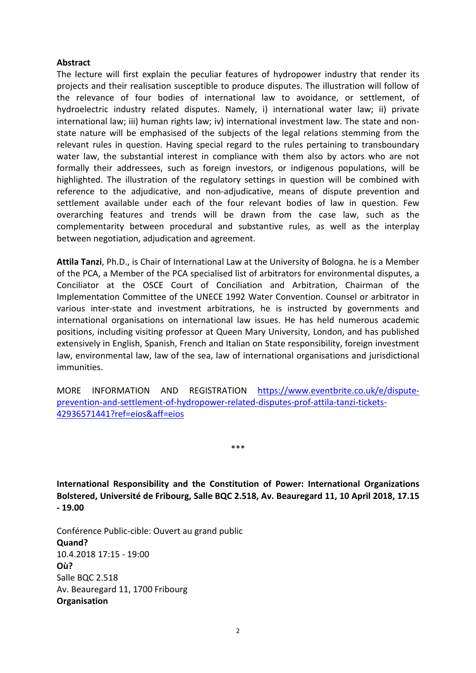#### **Abstract**

The lecture will first explain the peculiar features of hydropower industry that render its projects and their realisation susceptible to produce disputes. The illustration will follow of the relevance of four bodies of international law to avoidance, or settlement, of hydroelectric industry related disputes. Namely, i) international water law; ii) private international law; iii) human rights law; iv) international investment law. The state and nonstate nature will be emphasised of the subjects of the legal relations stemming from the relevant rules in question. Having special regard to the rules pertaining to transboundary water law, the substantial interest in compliance with them also by actors who are not formally their addressees, such as foreign investors, or indigenous populations, will be highlighted. The illustration of the regulatory settings in question will be combined with reference to the adjudicative, and non-adjudicative, means of dispute prevention and settlement available under each of the four relevant bodies of law in question. Few overarching features and trends will be drawn from the case law, such as the complementarity between procedural and substantive rules, as well as the interplay between negotiation, adjudication and agreement.

**Attila Tanzi**, Ph.D., is Chair of International Law at the University of Bologna. he is a Member of the PCA, a Member of the PCA specialised list of arbitrators for environmental disputes, a Conciliator at the OSCE Court of Conciliation and Arbitration, Chairman of the Implementation Committee of the UNECE 1992 Water Convention. Counsel or arbitrator in various inter-state and investment arbitrations, he is instructed by governments and international organisations on international law issues. He has held numerous academic positions, including visiting professor at Queen Mary University, London, and has published extensively in English, Spanish, French and Italian on State responsibility, foreign investment law, environmental law, law of the sea, law of international organisations and jurisdictional immunities.

MORE INFORMATION AND REGISTRATION [https://www.eventbrite.co.uk/e/dispute](https://www.eventbrite.co.uk/e/dispute-prevention-and-settlement-of-hydropower-related-disputes-prof-attila-tanzi-tickets-42936571441?ref=eios&aff=eios)[prevention-and-settlement-of-hydropower-related-disputes-prof-attila-tanzi-tickets-](https://www.eventbrite.co.uk/e/dispute-prevention-and-settlement-of-hydropower-related-disputes-prof-attila-tanzi-tickets-42936571441?ref=eios&aff=eios)[42936571441?ref=eios&aff=eios](https://www.eventbrite.co.uk/e/dispute-prevention-and-settlement-of-hydropower-related-disputes-prof-attila-tanzi-tickets-42936571441?ref=eios&aff=eios)

\*\*\*

<span id="page-4-0"></span>**International Responsibility and the Constitution of Power: International Organizations Bolstered, Université de Fribourg, Salle BQC 2.518, Av. Beauregard 11, 10 April 2018, 17.15 - 19.00**

Conférence Public-cible: Ouvert au grand public **Quand?** 10.4.2018 17:15 - 19:00 **Où?** Salle BQC 2.518 Av. Beauregard 11, 1700 Fribourg **Organisation**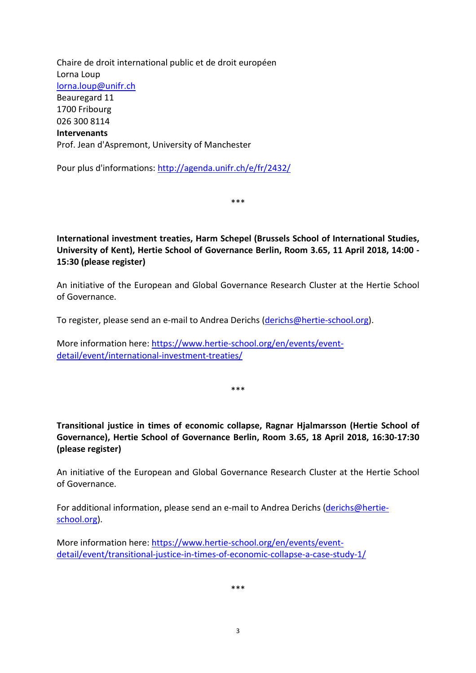Chaire de droit international public et de droit européen Lorna Loup [lorna.loup@unifr.ch](mailto:lorna.loup@unifr.ch) Beauregard 11 1700 Fribourg 026 300 8114 **Intervenants** Prof. Jean d'Aspremont, University of Manchester

Pour plus d'informations:<http://agenda.unifr.ch/e/fr/2432/>

\*\*\*

<span id="page-5-0"></span>**International investment treaties, Harm Schepel (Brussels School of International Studies, University of Kent), Hertie School of Governance Berlin, Room 3.65, 11 April 2018, 14:00 - 15:30 (please register)**

An initiative of the European and Global Governance Research Cluster at the Hertie School of Governance.

To register, please send an e-mail to Andrea Derichs [\(derichs@hertie-school.org\)](mailto:derichs@hertie-school.org).

More information here: [https://www.hertie-school.org/en/events/event](https://www.hertie-school.org/en/events/event-detail/event/international-investment-treaties/)[detail/event/international-investment-treaties/](https://www.hertie-school.org/en/events/event-detail/event/international-investment-treaties/)

\*\*\*

<span id="page-5-1"></span>**Transitional justice in times of economic collapse, Ragnar Hjalmarsson (Hertie School of Governance), Hertie School of Governance Berlin, Room 3.65, 18 April 2018, 16:30-17:30 (please register)**

An initiative of the European and Global Governance Research Cluster at the Hertie School of Governance.

For additional information, please send an e-mail to Andrea Derichs [\(derichs@hertie](mailto:derichs@hertie-school.org)[school.org\)](mailto:derichs@hertie-school.org).

More information here: [https://www.hertie-school.org/en/events/event](https://www.hertie-school.org/en/events/event-detail/event/transitional-justice-in-times-of-economic-collapse-a-case-study-1/)[detail/event/transitional-justice-in-times-of-economic-collapse-a-case-study-1/](https://www.hertie-school.org/en/events/event-detail/event/transitional-justice-in-times-of-economic-collapse-a-case-study-1/)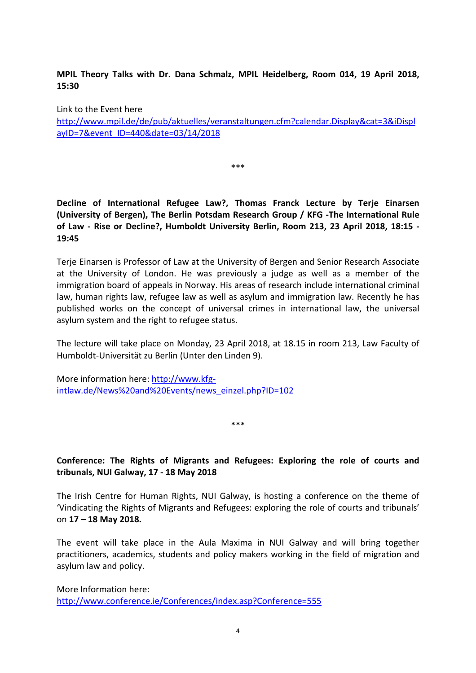<span id="page-6-0"></span>**MPIL Theory Talks with Dr. Dana Schmalz, MPIL Heidelberg, Room 014, 19 April 2018, 15:30**

Link to the Event here [http://www.mpil.de/de/pub/aktuelles/veranstaltungen.cfm?calendar.Display&cat=3&iDispl](http://www.mpil.de/de/pub/aktuelles/veranstaltungen.cfm?calendar.Display&cat=3&iDisplayID=7&event_ID=440&date=03/14/2018) [ayID=7&event\\_ID=440&date=03/14/2018](http://www.mpil.de/de/pub/aktuelles/veranstaltungen.cfm?calendar.Display&cat=3&iDisplayID=7&event_ID=440&date=03/14/2018)

\*\*\*

<span id="page-6-1"></span>**Decline of International Refugee Law?, Thomas Franck Lecture by Terje Einarsen (University of Bergen), The Berlin Potsdam Research Group / KFG -The International Rule of Law - Rise or Decline?, Humboldt University Berlin, Room 213, 23 April 2018, 18:15 - 19:45**

Terje Einarsen is Professor of Law at the University of Bergen and Senior Research Associate at the University of London. He was previously a judge as well as a member of the immigration board of appeals in Norway. His areas of research include international criminal law, human rights law, refugee law as well as asylum and immigration law. Recently he has published works on the concept of universal crimes in international law, the universal asylum system and the right to refugee status.

The lecture will take place on Monday, 23 April 2018, at 18.15 in room 213, Law Faculty of Humboldt-Universität zu Berlin (Unter den Linden 9).

More information here: [http://www.kfg](http://www.kfg-intlaw.de/News%20and%20Events/news_einzel.php?ID=102)[intlaw.de/News%20and%20Events/news\\_einzel.php?ID=102](http://www.kfg-intlaw.de/News%20and%20Events/news_einzel.php?ID=102)

\*\*\*

# <span id="page-6-2"></span>**Conference: The Rights of Migrants and Refugees: Exploring the role of courts and tribunals, NUI Galway, 17 - 18 May 2018**

The Irish Centre for Human Rights, NUI Galway, is hosting a conference on the theme of 'Vindicating the Rights of Migrants and Refugees: exploring the role of courts and tribunals' on **17 – 18 May 2018.**

The event will take place in the Aula Maxima in NUI Galway and will bring together practitioners, academics, students and policy makers working in the field of migration and asylum law and policy.

More Information here: <http://www.conference.ie/Conferences/index.asp?Conference=555>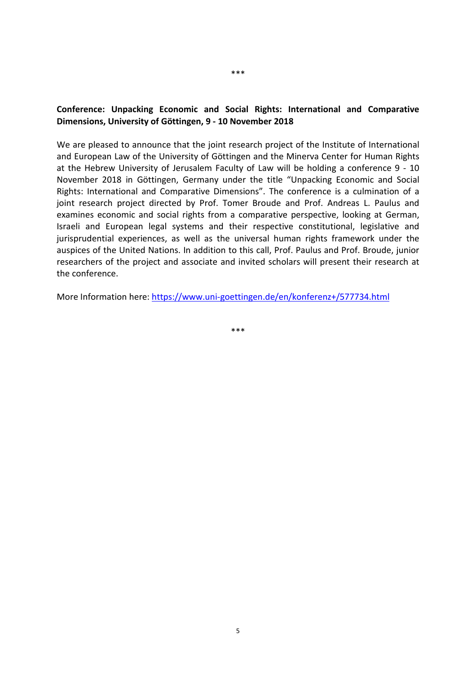#### <span id="page-7-0"></span>**Conference: Unpacking Economic and Social Rights: International and Comparative Dimensions, University of Göttingen, 9 - 10 November 2018**

We are pleased to announce that the joint research project of the Institute of International and European Law of the University of Göttingen and the Minerva Center for Human Rights at the Hebrew University of Jerusalem Faculty of Law will be holding a conference 9 - 10 November 2018 in Göttingen, Germany under the title "Unpacking Economic and Social Rights: International and Comparative Dimensions". The conference is a culmination of a joint research project directed by Prof. Tomer Broude and Prof. Andreas L. Paulus and examines economic and social rights from a comparative perspective, looking at German, Israeli and European legal systems and their respective constitutional, legislative and jurisprudential experiences, as well as the universal human rights framework under the auspices of the United Nations. In addition to this call, Prof. Paulus and Prof. Broude, junior researchers of the project and associate and invited scholars will present their research at the conference.

More Information here[: https://www.uni-goettingen.de/en/konferenz+/577734.html](https://www.uni-goettingen.de/en/konferenz+/577734.html)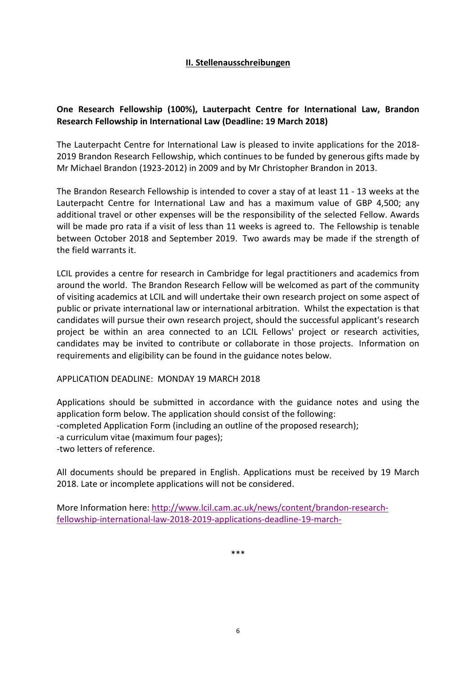#### **II. Stellenausschreibungen**

# <span id="page-8-1"></span><span id="page-8-0"></span>**One Research Fellowship (100%), Lauterpacht Centre for International Law, Brandon Research Fellowship in International Law (Deadline: 19 March 2018)**

The Lauterpacht Centre for International Law is pleased to invite applications for the 2018- 2019 Brandon Research Fellowship, which continues to be funded by generous gifts made by Mr Michael Brandon (1923-2012) in 2009 and by Mr Christopher Brandon in 2013.

The Brandon Research Fellowship is intended to cover a stay of at least 11 - 13 weeks at the Lauterpacht Centre for International Law and has a maximum value of GBP 4,500; any additional travel or other expenses will be the responsibility of the selected Fellow. Awards will be made pro rata if a visit of less than 11 weeks is agreed to. The Fellowship is tenable between October 2018 and September 2019. Two awards may be made if the strength of the field warrants it.

LCIL provides a centre for research in Cambridge for legal practitioners and academics from around the world. The Brandon Research Fellow will be welcomed as part of the community of visiting academics at LCIL and will undertake their own research project on some aspect of public or private international law or international arbitration. Whilst the expectation is that candidates will pursue their own research project, should the successful applicant's research project be within an area connected to an LCIL Fellows' project or research activities, candidates may be invited to contribute or collaborate in those projects. Information on requirements and eligibility can be found in the guidance notes below.

#### APPLICATION DEADLINE: MONDAY 19 MARCH 2018

Applications should be submitted in accordance with the guidance notes and using the application form below. The application should consist of the following: -completed Application Form (including an outline of the proposed research); -a curriculum vitae (maximum four pages); -two letters of reference.

All documents should be prepared in English. Applications must be received by 19 March 2018. Late or incomplete applications will not be considered.

More Information here[: http://www.lcil.cam.ac.uk/news/content/brandon-research](http://www.lcil.cam.ac.uk/news/content/brandon-research-fellowship-international-law-2018-2019-applications-deadline-19-march-)[fellowship-international-law-2018-2019-applications-deadline-19-march-](http://www.lcil.cam.ac.uk/news/content/brandon-research-fellowship-international-law-2018-2019-applications-deadline-19-march-)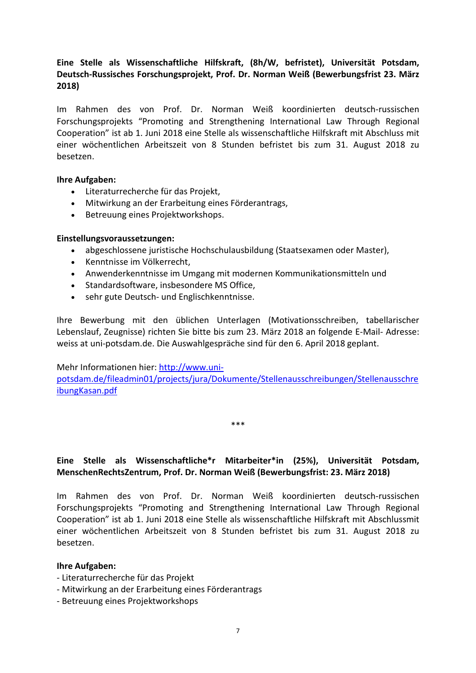# <span id="page-9-0"></span>**Eine Stelle als Wissenschaftliche Hilfskraft, (8h/W, befristet), Universität Potsdam, Deutsch-Russisches Forschungsprojekt, Prof. Dr. Norman Weiß (Bewerbungsfrist 23. März 2018)**

Im Rahmen des von Prof. Dr. Norman Weiß koordinierten deutsch-russischen Forschungsprojekts "Promoting and Strengthening International Law Through Regional Cooperation" ist ab 1. Juni 2018 eine Stelle als wissenschaftliche Hilfskraft mit Abschluss mit einer wöchentlichen Arbeitszeit von 8 Stunden befristet bis zum 31. August 2018 zu besetzen.

#### **Ihre Aufgaben:**

- Literaturrecherche für das Projekt,
- Mitwirkung an der Erarbeitung eines Förderantrags,
- Betreuung eines Projektworkshops.

#### **Einstellungsvoraussetzungen:**

- abgeschlossene juristische Hochschulausbildung (Staatsexamen oder Master),
- Kenntnisse im Völkerrecht,
- Anwenderkenntnisse im Umgang mit modernen Kommunikationsmitteln und
- Standardsoftware, insbesondere MS Office,
- sehr gute Deutsch- und Englischkenntnisse.

Ihre Bewerbung mit den üblichen Unterlagen (Motivationsschreiben, tabellarischer Lebenslauf, Zeugnisse) richten Sie bitte bis zum 23. März 2018 an folgende E-Mail- Adresse: weiss at uni-potsdam.de. Die Auswahlgespräche sind für den 6. April 2018 geplant.

#### Mehr Informationen hier[: http://www.uni-](http://www.uni-potsdam.de/fileadmin01/projects/jura/Dokumente/Stellenausschreibungen/StellenausschreibungKasan.pdf)

[potsdam.de/fileadmin01/projects/jura/Dokumente/Stellenausschreibungen/Stellenausschre](http://www.uni-potsdam.de/fileadmin01/projects/jura/Dokumente/Stellenausschreibungen/StellenausschreibungKasan.pdf) [ibungKasan.pdf](http://www.uni-potsdam.de/fileadmin01/projects/jura/Dokumente/Stellenausschreibungen/StellenausschreibungKasan.pdf)

\*\*\*

#### <span id="page-9-1"></span>**Eine Stelle als Wissenschaftliche\*r Mitarbeiter\*in (25%), Universität Potsdam, MenschenRechtsZentrum, Prof. Dr. Norman Weiß (Bewerbungsfrist: 23. März 2018)**

Im Rahmen des von Prof. Dr. Norman Weiß koordinierten deutsch-russischen Forschungsprojekts "Promoting and Strengthening International Law Through Regional Cooperation" ist ab 1. Juni 2018 eine Stelle als wissenschaftliche Hilfskraft mit Abschlussmit einer wöchentlichen Arbeitszeit von 8 Stunden befristet bis zum 31. August 2018 zu besetzen.

#### **Ihre Aufgaben:**

- Literaturrecherche für das Projekt
- Mitwirkung an der Erarbeitung eines Förderantrags
- Betreuung eines Projektworkshops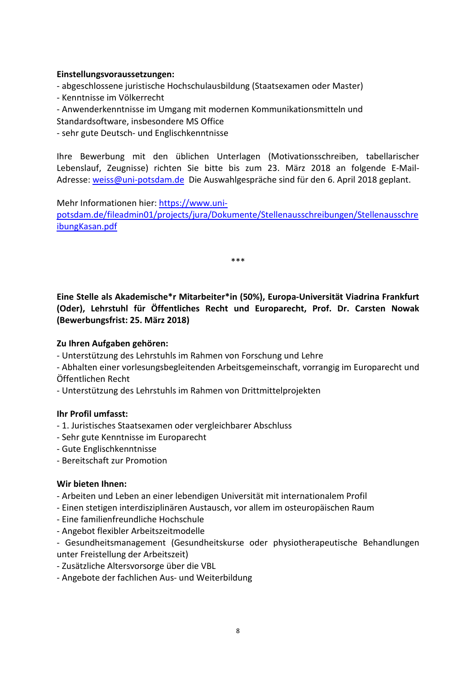#### **Einstellungsvoraussetzungen:**

- abgeschlossene juristische Hochschulausbildung (Staatsexamen oder Master)
- Kenntnisse im Völkerrecht
- Anwenderkenntnisse im Umgang mit modernen Kommunikationsmitteln und Standardsoftware, insbesondere MS Office
- sehr gute Deutsch- und Englischkenntnisse

Ihre Bewerbung mit den üblichen Unterlagen (Motivationsschreiben, tabellarischer Lebenslauf, Zeugnisse) richten Sie bitte bis zum 23. März 2018 an folgende E-Mail-Adresse: [weiss@uni-potsdam.de](mailto:weiss@uni-potsdam.de) Die Auswahlgespräche sind für den 6. April 2018 geplant.

Mehr Informationen hier[: https://www.uni-](https://www.uni-potsdam.de/fileadmin01/projects/jura/Dokumente/Stellenausschreibungen/StellenausschreibungKasan.pdf)

[potsdam.de/fileadmin01/projects/jura/Dokumente/Stellenausschreibungen/Stellenausschre](https://www.uni-potsdam.de/fileadmin01/projects/jura/Dokumente/Stellenausschreibungen/StellenausschreibungKasan.pdf) [ibungKasan.pdf](https://www.uni-potsdam.de/fileadmin01/projects/jura/Dokumente/Stellenausschreibungen/StellenausschreibungKasan.pdf)

\*\*\*

<span id="page-10-0"></span>**Eine Stelle als Akademische\*r Mitarbeiter\*in (50%), Europa-Universität Viadrina Frankfurt (Oder), Lehrstuhl für Öffentliches Recht und Europarecht, Prof. Dr. Carsten Nowak (Bewerbungsfrist: 25. März 2018)**

# **Zu Ihren Aufgaben gehören:**

- Unterstützung des Lehrstuhls im Rahmen von Forschung und Lehre
- Abhalten einer vorlesungsbegleitenden Arbeitsgemeinschaft, vorrangig im Europarecht und Öffentlichen Recht
- Unterstützung des Lehrstuhls im Rahmen von Drittmittelprojekten

#### **Ihr Profil umfasst:**

- 1. Juristisches Staatsexamen oder vergleichbarer Abschluss
- Sehr gute Kenntnisse im Europarecht
- Gute Englischkenntnisse
- Bereitschaft zur Promotion

#### **Wir bieten Ihnen:**

- Arbeiten und Leben an einer lebendigen Universität mit internationalem Profil
- Einen stetigen interdisziplinären Austausch, vor allem im osteuropäischen Raum
- Eine familienfreundliche Hochschule
- Angebot flexibler Arbeitszeitmodelle
- Gesundheitsmanagement (Gesundheitskurse oder physiotherapeutische Behandlungen unter Freistellung der Arbeitszeit)
- Zusätzliche Altersvorsorge über die VBL
- Angebote der fachlichen Aus- und Weiterbildung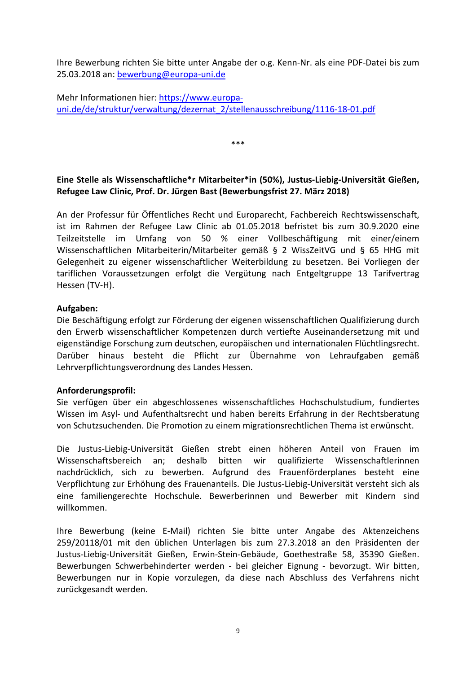Ihre Bewerbung richten Sie bitte unter Angabe der o.g. Kenn-Nr. als eine PDF-Datei bis zum 25.03.2018 an: [bewerbung@europa-uni.de](mailto:bewerbung@europa-uni.de)

Mehr Informationen hier[: https://www.europa](https://www.europa-uni.de/de/struktur/verwaltung/dezernat_2/stellenausschreibung/1116-18-01.pdf)[uni.de/de/struktur/verwaltung/dezernat\\_2/stellenausschreibung/1116-18-01.pdf](https://www.europa-uni.de/de/struktur/verwaltung/dezernat_2/stellenausschreibung/1116-18-01.pdf)

<span id="page-11-0"></span>**Eine Stelle als Wissenschaftliche\*r Mitarbeiter\*in (50%), Justus-Liebig-Universität Gießen, Refugee Law Clinic, Prof. Dr. Jürgen Bast (Bewerbungsfrist 27. März 2018)**

\*\*\*

An der Professur für Öffentliches Recht und Europarecht, Fachbereich Rechtswissenschaft, ist im Rahmen der Refugee Law Clinic ab 01.05.2018 befristet bis zum 30.9.2020 eine Teilzeitstelle im Umfang von 50 % einer Vollbeschäftigung mit einer/einem Wissenschaftlichen Mitarbeiterin/Mitarbeiter gemäß § 2 WissZeitVG und § 65 HHG mit Gelegenheit zu eigener wissenschaftlicher Weiterbildung zu besetzen. Bei Vorliegen der tariflichen Voraussetzungen erfolgt die Vergütung nach Entgeltgruppe 13 Tarifvertrag Hessen (TV-H).

#### **Aufgaben:**

Die Beschäftigung erfolgt zur Förderung der eigenen wissenschaftlichen Qualifizierung durch den Erwerb wissenschaftlicher Kompetenzen durch vertiefte Auseinandersetzung mit und eigenständige Forschung zum deutschen, europäischen und internationalen Flüchtlingsrecht. Darüber hinaus besteht die Pflicht zur Übernahme von Lehraufgaben gemäß Lehrverpflichtungsverordnung des Landes Hessen.

#### **Anforderungsprofil:**

Sie verfügen über ein abgeschlossenes wissenschaftliches Hochschulstudium, fundiertes Wissen im Asyl- und Aufenthaltsrecht und haben bereits Erfahrung in der Rechtsberatung von Schutzsuchenden. Die Promotion zu einem migrationsrechtlichen Thema ist erwünscht.

Die Justus-Liebig-Universität Gießen strebt einen höheren Anteil von Frauen im Wissenschaftsbereich an; deshalb bitten wir qualifizierte Wissenschaftlerinnen nachdrücklich, sich zu bewerben. Aufgrund des Frauenförderplanes besteht eine Verpflichtung zur Erhöhung des Frauenanteils. Die Justus-Liebig-Universität versteht sich als eine familiengerechte Hochschule. Bewerberinnen und Bewerber mit Kindern sind willkommen.

Ihre Bewerbung (keine E-Mail) richten Sie bitte unter Angabe des Aktenzeichens 259/20118/01 mit den üblichen Unterlagen bis zum 27.3.2018 an den Präsidenten der Justus-Liebig-Universität Gießen, Erwin-Stein-Gebäude, Goethestraße 58, 35390 Gießen. Bewerbungen Schwerbehinderter werden - bei gleicher Eignung - bevorzugt. Wir bitten, Bewerbungen nur in Kopie vorzulegen, da diese nach Abschluss des Verfahrens nicht zurückgesandt werden.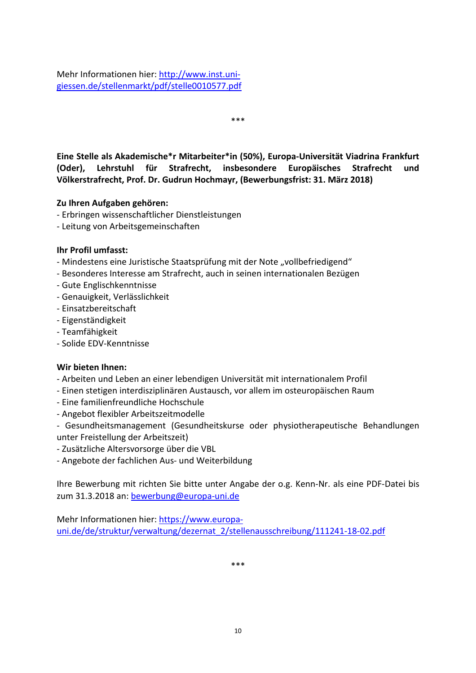Mehr Informationen hier[: http://www.inst.uni](http://www.inst.uni-giessen.de/stellenmarkt/pdf/stelle0010577.pdf)[giessen.de/stellenmarkt/pdf/stelle0010577.pdf](http://www.inst.uni-giessen.de/stellenmarkt/pdf/stelle0010577.pdf)

\*\*\*

<span id="page-12-0"></span>**Eine Stelle als Akademische\*r Mitarbeiter\*in (50%), Europa-Universität Viadrina Frankfurt (Oder), Lehrstuhl für Strafrecht, insbesondere Europäisches Strafrecht und Völkerstrafrecht, Prof. Dr. Gudrun Hochmayr, (Bewerbungsfrist: 31. März 2018)**

# **Zu Ihren Aufgaben gehören:**

- Erbringen wissenschaftlicher Dienstleistungen
- Leitung von Arbeitsgemeinschaften

#### **Ihr Profil umfasst:**

- Mindestens eine Juristische Staatsprüfung mit der Note "vollbefriedigend"
- Besonderes Interesse am Strafrecht, auch in seinen internationalen Bezügen
- Gute Englischkenntnisse
- Genauigkeit, Verlässlichkeit
- Einsatzbereitschaft
- Eigenständigkeit
- Teamfähigkeit
- Solide EDV-Kenntnisse

#### **Wir bieten Ihnen:**

- Arbeiten und Leben an einer lebendigen Universität mit internationalem Profil
- Einen stetigen interdisziplinären Austausch, vor allem im osteuropäischen Raum
- Eine familienfreundliche Hochschule
- Angebot flexibler Arbeitszeitmodelle
- Gesundheitsmanagement (Gesundheitskurse oder physiotherapeutische Behandlungen unter Freistellung der Arbeitszeit)
- Zusätzliche Altersvorsorge über die VBL
- Angebote der fachlichen Aus- und Weiterbildung

Ihre Bewerbung mit richten Sie bitte unter Angabe der o.g. Kenn-Nr. als eine PDF-Datei bis zum 31.3.2018 an: [bewerbung@europa-uni.de](mailto:bewerbung@europa-uni.de)

Mehr Informationen hier[: https://www.europa](https://www.europa-uni.de/de/struktur/verwaltung/dezernat_2/stellenausschreibung/111241-18-02.pdf)[uni.de/de/struktur/verwaltung/dezernat\\_2/stellenausschreibung/111241-18-02.pdf](https://www.europa-uni.de/de/struktur/verwaltung/dezernat_2/stellenausschreibung/111241-18-02.pdf)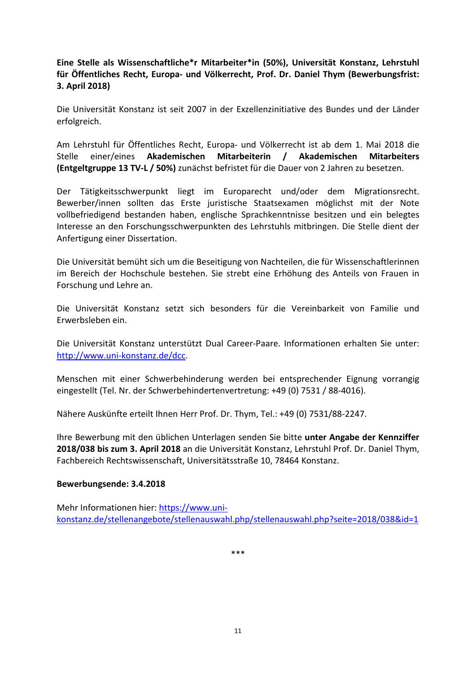<span id="page-13-0"></span>**Eine Stelle als Wissenschaftliche\*r Mitarbeiter\*in (50%), Universität Konstanz, Lehrstuhl für Öffentliches Recht, Europa- und Völkerrecht, Prof. Dr. Daniel Thym (Bewerbungsfrist: 3. April 2018)**

Die Universität Konstanz ist seit 2007 in der Exzellenzinitiative des Bundes und der Länder erfolgreich.

Am Lehrstuhl für Öffentliches Recht, Europa- und Völkerrecht ist ab dem 1. Mai 2018 die Stelle einer/eines **Akademischen Mitarbeiterin / Akademischen Mitarbeiters (Entgeltgruppe 13 TV-L / 50%)** zunächst befristet für die Dauer von 2 Jahren zu besetzen.

Der Tätigkeitsschwerpunkt liegt im Europarecht und/oder dem Migrationsrecht. Bewerber/innen sollten das Erste juristische Staatsexamen möglichst mit der Note vollbefriedigend bestanden haben, englische Sprachkenntnisse besitzen und ein belegtes Interesse an den Forschungsschwerpunkten des Lehrstuhls mitbringen. Die Stelle dient der Anfertigung einer Dissertation.

Die Universität bemüht sich um die Beseitigung von Nachteilen, die für Wissenschaftlerinnen im Bereich der Hochschule bestehen. Sie strebt eine Erhöhung des Anteils von Frauen in Forschung und Lehre an.

Die Universität Konstanz setzt sich besonders für die Vereinbarkeit von Familie und Erwerbsleben ein.

Die Universität Konstanz unterstützt Dual Career-Paare. Informationen erhalten Sie unter: [http://www.uni-konstanz.de/dcc.](http://www.uni-konstanz.de/dcc)

Menschen mit einer Schwerbehinderung werden bei entsprechender Eignung vorrangig eingestellt (Tel. Nr. der Schwerbehindertenvertretung: +49 (0) 7531 / 88-4016).

Nähere Auskünfte erteilt Ihnen Herr Prof. Dr. Thym, Tel.: +49 (0) 7531/88-2247.

Ihre Bewerbung mit den üblichen Unterlagen senden Sie bitte **unter Angabe der Kennziffer 2018/038 bis zum 3. April 2018** an die Universität Konstanz, Lehrstuhl Prof. Dr. Daniel Thym, Fachbereich Rechtswissenschaft, Universitätsstraße 10, 78464 Konstanz.

#### **Bewerbungsende: 3.4.2018**

Mehr Informationen hier[: https://www.uni](https://www.uni-konstanz.de/stellenangebote/stellenauswahl.php/stellenauswahl.php?seite=2018/038&id=1)[konstanz.de/stellenangebote/stellenauswahl.php/stellenauswahl.php?seite=2018/038&id=1](https://www.uni-konstanz.de/stellenangebote/stellenauswahl.php/stellenauswahl.php?seite=2018/038&id=1)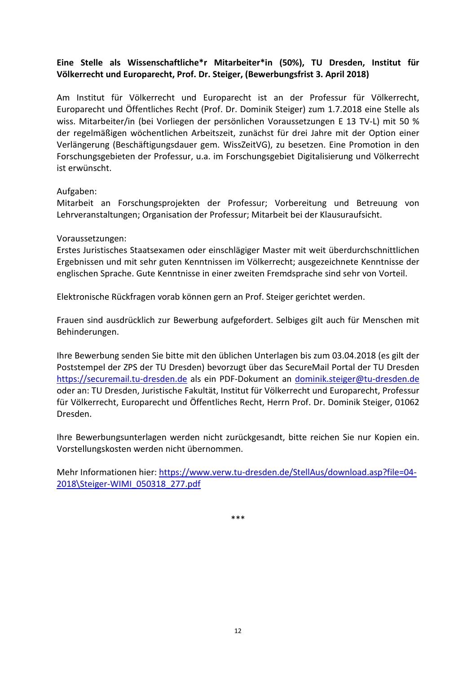# <span id="page-14-0"></span>**Eine Stelle als Wissenschaftliche\*r Mitarbeiter\*in (50%), TU Dresden, Institut für Völkerrecht und Europarecht, Prof. Dr. Steiger, (Bewerbungsfrist 3. April 2018)**

Am Institut für Völkerrecht und Europarecht ist an der Professur für Völkerrecht, Europarecht und Öffentliches Recht (Prof. Dr. Dominik Steiger) zum 1.7.2018 eine Stelle als wiss. Mitarbeiter/in (bei Vorliegen der persönlichen Voraussetzungen E 13 TV-L) mit 50 % der regelmäßigen wöchentlichen Arbeitszeit, zunächst für drei Jahre mit der Option einer Verlängerung (Beschäftigungsdauer gem. WissZeitVG), zu besetzen. Eine Promotion in den Forschungsgebieten der Professur, u.a. im Forschungsgebiet Digitalisierung und Völkerrecht ist erwünscht.

#### Aufgaben:

Mitarbeit an Forschungsprojekten der Professur; Vorbereitung und Betreuung von Lehrveranstaltungen; Organisation der Professur; Mitarbeit bei der Klausuraufsicht.

#### Voraussetzungen:

Erstes Juristisches Staatsexamen oder einschlägiger Master mit weit überdurchschnittlichen Ergebnissen und mit sehr guten Kenntnissen im Völkerrecht; ausgezeichnete Kenntnisse der englischen Sprache. Gute Kenntnisse in einer zweiten Fremdsprache sind sehr von Vorteil.

Elektronische Rückfragen vorab können gern an Prof. Steiger gerichtet werden.

Frauen sind ausdrücklich zur Bewerbung aufgefordert. Selbiges gilt auch für Menschen mit Behinderungen.

Ihre Bewerbung senden Sie bitte mit den üblichen Unterlagen bis zum 03.04.2018 (es gilt der Poststempel der ZPS der TU Dresden) bevorzugt über das SecureMail Portal der TU Dresden [https://securemail.tu-dresden.de](https://securemail.tu-dresden.de/) als ein PDF-Dokument an [dominik.steiger@tu-dresden.de](mailto:dominik.steiger@tu-dresden.de)  oder an: TU Dresden, Juristische Fakultät, Institut für Völkerrecht und Europarecht, Professur für Völkerrecht, Europarecht und Öffentliches Recht, Herrn Prof. Dr. Dominik Steiger, 01062 Dresden.

Ihre Bewerbungsunterlagen werden nicht zurückgesandt, bitte reichen Sie nur Kopien ein. Vorstellungskosten werden nicht übernommen.

Mehr Informationen hier[: https://www.verw.tu-dresden.de/StellAus/download.asp?file=04-](https://www.verw.tu-dresden.de/StellAus/download.asp?file=04-2018%5CSteiger-WIMI_050318_277.pdf) [2018\Steiger-WIMI\\_050318\\_277.pdf](https://www.verw.tu-dresden.de/StellAus/download.asp?file=04-2018%5CSteiger-WIMI_050318_277.pdf)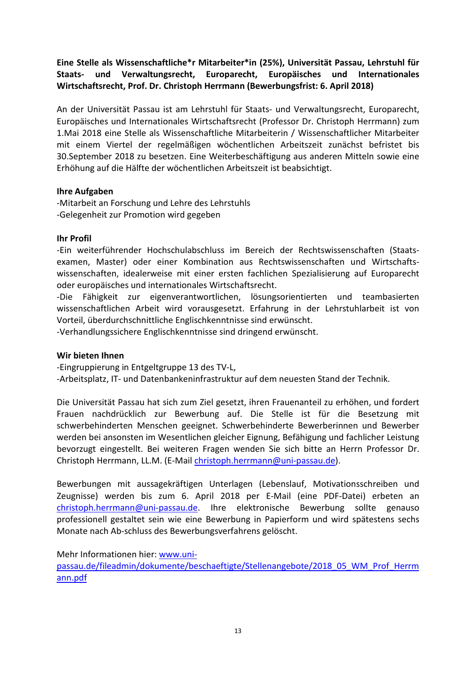<span id="page-15-0"></span>**Eine Stelle als Wissenschaftliche\*r Mitarbeiter\*in (25%), Universität Passau, Lehrstuhl für Staats- und Verwaltungsrecht, Europarecht, Europäisches und Internationales Wirtschaftsrecht, Prof. Dr. Christoph Herrmann (Bewerbungsfrist: 6. April 2018)**

An der Universität Passau ist am Lehrstuhl für Staats- und Verwaltungsrecht, Europarecht, Europäisches und Internationales Wirtschaftsrecht (Professor Dr. Christoph Herrmann) zum 1.Mai 2018 eine Stelle als Wissenschaftliche Mitarbeiterin / Wissenschaftlicher Mitarbeiter mit einem Viertel der regelmäßigen wöchentlichen Arbeitszeit zunächst befristet bis 30.September 2018 zu besetzen. Eine Weiterbeschäftigung aus anderen Mitteln sowie eine Erhöhung auf die Hälfte der wöchentlichen Arbeitszeit ist beabsichtigt.

# **Ihre Aufgaben**

-Mitarbeit an Forschung und Lehre des Lehrstuhls -Gelegenheit zur Promotion wird gegeben

#### **Ihr Profil**

-Ein weiterführender Hochschulabschluss im Bereich der Rechtswissenschaften (Staatsexamen, Master) oder einer Kombination aus Rechtswissenschaften und Wirtschaftswissenschaften, idealerweise mit einer ersten fachlichen Spezialisierung auf Europarecht oder europäisches und internationales Wirtschaftsrecht.

-Die Fähigkeit zur eigenverantwortlichen, lösungsorientierten und teambasierten wissenschaftlichen Arbeit wird vorausgesetzt. Erfahrung in der Lehrstuhlarbeit ist von Vorteil, überdurchschnittliche Englischkenntnisse sind erwünscht.

-Verhandlungssichere Englischkenntnisse sind dringend erwünscht.

#### **Wir bieten Ihnen**

-Eingruppierung in Entgeltgruppe 13 des TV-L, -Arbeitsplatz, IT- und Datenbankeninfrastruktur auf dem neuesten Stand der Technik.

Die Universität Passau hat sich zum Ziel gesetzt, ihren Frauenanteil zu erhöhen, und fordert Frauen nachdrücklich zur Bewerbung auf. Die Stelle ist für die Besetzung mit schwerbehinderten Menschen geeignet. Schwerbehinderte Bewerberinnen und Bewerber werden bei ansonsten im Wesentlichen gleicher Eignung, Befähigung und fachlicher Leistung bevorzugt eingestellt. Bei weiteren Fragen wenden Sie sich bitte an Herrn Professor Dr. Christoph Herrmann, LL.M. (E-Mail [christoph.herrmann@uni-passau.de\)](mailto:christoph.herrmann@uni-passau.de).

Bewerbungen mit aussagekräftigen Unterlagen (Lebenslauf, Motivationsschreiben und Zeugnisse) werden bis zum 6. April 2018 per E-Mail (eine PDF-Datei) erbeten an [christoph.herrmann@uni-passau.de.](mailto:christoph.herrmann@uni-passau.de) Ihre elektronische Bewerbung sollte genauso professionell gestaltet sein wie eine Bewerbung in Papierform und wird spätestens sechs Monate nach Ab-schluss des Bewerbungsverfahrens gelöscht.

Mehr Informationen hier[: www.uni-](http://www.uni-passau.de/fileadmin/dokumente/beschaeftigte/Stellenangebote/2018_05_WM_Prof_Herrmann.pdf)

[passau.de/fileadmin/dokumente/beschaeftigte/Stellenangebote/2018\\_05\\_WM\\_Prof\\_Herrm](http://www.uni-passau.de/fileadmin/dokumente/beschaeftigte/Stellenangebote/2018_05_WM_Prof_Herrmann.pdf) [ann.pdf](http://www.uni-passau.de/fileadmin/dokumente/beschaeftigte/Stellenangebote/2018_05_WM_Prof_Herrmann.pdf)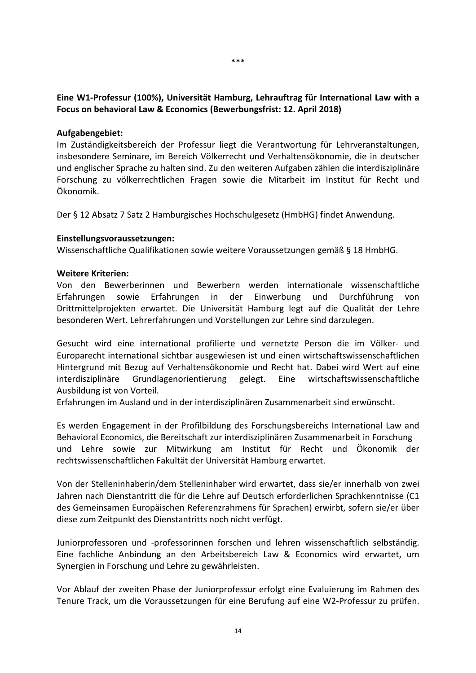<span id="page-16-0"></span>**Eine W1-Professur (100%), Universität Hamburg, Lehrauftrag für International Law with a Focus on behavioral Law & Economics (Bewerbungsfrist: 12. April 2018)**

#### **Aufgabengebiet:**

Im Zuständigkeitsbereich der Professur liegt die Verantwortung für Lehrveranstaltungen, insbesondere Seminare, im Bereich Völkerrecht und Verhaltensökonomie, die in deutscher und englischer Sprache zu halten sind. Zu den weiteren Aufgaben zählen die interdisziplinäre Forschung zu völkerrechtlichen Fragen sowie die Mitarbeit im Institut für Recht und Ökonomik.

Der § 12 Absatz 7 Satz 2 Hamburgisches Hochschulgesetz (HmbHG) findet Anwendung.

#### **Einstellungsvoraussetzungen:**

Wissenschaftliche Qualifikationen sowie weitere Voraussetzungen gemäß § 18 HmbHG.

#### **Weitere Kriterien:**

Von den Bewerberinnen und Bewerbern werden internationale wissenschaftliche Erfahrungen sowie Erfahrungen in der Einwerbung und Durchführung von Drittmittelprojekten erwartet. Die Universität Hamburg legt auf die Qualität der Lehre besonderen Wert. Lehrerfahrungen und Vorstellungen zur Lehre sind darzulegen.

Gesucht wird eine international profilierte und vernetzte Person die im Völker- und Europarecht international sichtbar ausgewiesen ist und einen wirtschaftswissenschaftlichen Hintergrund mit Bezug auf Verhaltensökonomie und Recht hat. Dabei wird Wert auf eine interdisziplinäre Grundlagenorientierung gelegt. Eine wirtschaftswissenschaftliche Ausbildung ist von Vorteil.

Erfahrungen im Ausland und in der interdisziplinären Zusammenarbeit sind erwünscht.

Es werden Engagement in der Profilbildung des Forschungsbereichs International Law and Behavioral Economics, die Bereitschaft zur interdisziplinären Zusammenarbeit in Forschung und Lehre sowie zur Mitwirkung am Institut für Recht und Ökonomik der rechtswissenschaftlichen Fakultät der Universität Hamburg erwartet.

Von der Stelleninhaberin/dem Stelleninhaber wird erwartet, dass sie/er innerhalb von zwei Jahren nach Dienstantritt die für die Lehre auf Deutsch erforderlichen Sprachkenntnisse (C1 des Gemeinsamen Europäischen Referenzrahmens für Sprachen) erwirbt, sofern sie/er über diese zum Zeitpunkt des Dienstantritts noch nicht verfügt.

Juniorprofessoren und -professorinnen forschen und lehren wissenschaftlich selbständig. Eine fachliche Anbindung an den Arbeitsbereich Law & Economics wird erwartet, um Synergien in Forschung und Lehre zu gewährleisten.

Vor Ablauf der zweiten Phase der Juniorprofessur erfolgt eine Evaluierung im Rahmen des Tenure Track, um die Voraussetzungen für eine Berufung auf eine W2-Professur zu prüfen.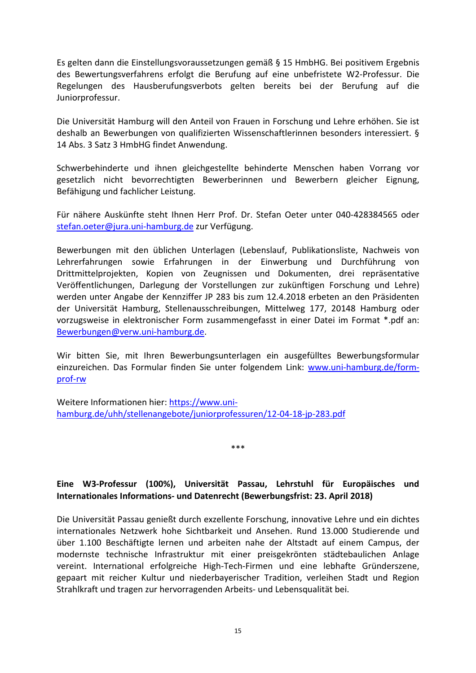Es gelten dann die Einstellungsvoraussetzungen gemäß § 15 HmbHG. Bei positivem Ergebnis des Bewertungsverfahrens erfolgt die Berufung auf eine unbefristete W2-Professur. Die Regelungen des Hausberufungsverbots gelten bereits bei der Berufung auf die Juniorprofessur.

Die Universität Hamburg will den Anteil von Frauen in Forschung und Lehre erhöhen. Sie ist deshalb an Bewerbungen von qualifizierten Wissenschaftlerinnen besonders interessiert. § 14 Abs. 3 Satz 3 HmbHG findet Anwendung.

Schwerbehinderte und ihnen gleichgestellte behinderte Menschen haben Vorrang vor gesetzlich nicht bevorrechtigten Bewerberinnen und Bewerbern gleicher Eignung, Befähigung und fachlicher Leistung.

Für nähere Auskünfte steht Ihnen Herr Prof. Dr. Stefan Oeter unter 040-428384565 oder [stefan.oeter@jura.uni-hamburg.de](mailto:stefan.oeter@jura.uni-hamburg.de) zur Verfügung.

Bewerbungen mit den üblichen Unterlagen (Lebenslauf, Publikationsliste, Nachweis von Lehrerfahrungen sowie Erfahrungen in der Einwerbung und Durchführung von Drittmittelprojekten, Kopien von Zeugnissen und Dokumenten, drei repräsentative Veröffentlichungen, Darlegung der Vorstellungen zur zukünftigen Forschung und Lehre) werden unter Angabe der Kennziffer JP 283 bis zum 12.4.2018 erbeten an den Präsidenten der Universität Hamburg, Stellenausschreibungen, Mittelweg 177, 20148 Hamburg oder vorzugsweise in elektronischer Form zusammengefasst in einer Datei im Format \*.pdf an: [Bewerbungen@verw.uni-hamburg.de.](mailto:Bewerbungen@verw.uni-hamburg.de)

Wir bitten Sie, mit Ihren Bewerbungsunterlagen ein ausgefülltes Bewerbungsformular einzureichen. Das Formular finden Sie unter folgendem Link: [www.uni-hamburg.de/form](http://www.uni-hamburg.de/form-prof-rw)[prof-rw](http://www.uni-hamburg.de/form-prof-rw)

Weitere Informationen hier: [https://www.uni](https://www.uni-hamburg.de/uhh/stellenangebote/juniorprofessuren/12-04-18-jp-283.pdf)[hamburg.de/uhh/stellenangebote/juniorprofessuren/12-04-18-jp-283.pdf](https://www.uni-hamburg.de/uhh/stellenangebote/juniorprofessuren/12-04-18-jp-283.pdf)

\*\*\*

# <span id="page-17-0"></span>**Eine W3-Professur (100%), Universität Passau, Lehrstuhl für Europäisches und Internationales Informations- und Datenrecht (Bewerbungsfrist: 23. April 2018)**

Die Universität Passau genießt durch exzellente Forschung, innovative Lehre und ein dichtes internationales Netzwerk hohe Sichtbarkeit und Ansehen. Rund 13.000 Studierende und über 1.100 Beschäftigte lernen und arbeiten nahe der Altstadt auf einem Campus, der modernste technische Infrastruktur mit einer preisgekrönten städtebaulichen Anlage vereint. International erfolgreiche High-Tech-Firmen und eine lebhafte Gründerszene, gepaart mit reicher Kultur und niederbayerischer Tradition, verleihen Stadt und Region Strahlkraft und tragen zur hervorragenden Arbeits- und Lebensqualität bei.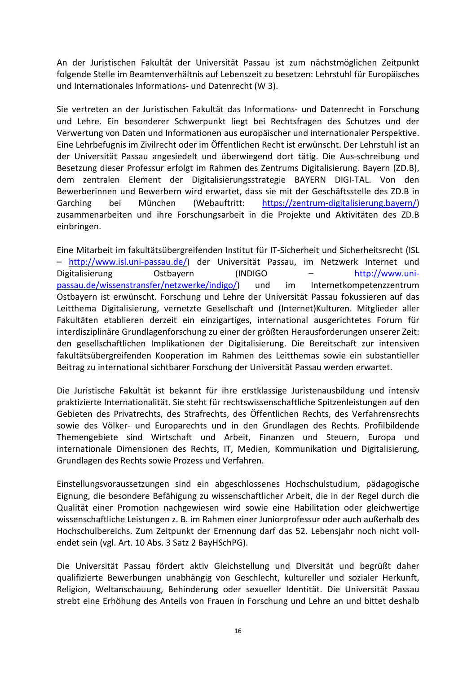An der Juristischen Fakultät der Universität Passau ist zum nächstmöglichen Zeitpunkt folgende Stelle im Beamtenverhältnis auf Lebenszeit zu besetzen: Lehrstuhl für Europäisches und Internationales Informations- und Datenrecht (W 3).

Sie vertreten an der Juristischen Fakultät das Informations- und Datenrecht in Forschung und Lehre. Ein besonderer Schwerpunkt liegt bei Rechtsfragen des Schutzes und der Verwertung von Daten und Informationen aus europäischer und internationaler Perspektive. Eine Lehrbefugnis im Zivilrecht oder im Öffentlichen Recht ist erwünscht. Der Lehrstuhl ist an der Universität Passau angesiedelt und überwiegend dort tätig. Die Aus-schreibung und Besetzung dieser Professur erfolgt im Rahmen des Zentrums Digitalisierung. Bayern (ZD.B), dem zentralen Element der Digitalisierungsstrategie BAYERN DIGI-TAL. Von den Bewerberinnen und Bewerbern wird erwartet, dass sie mit der Geschäftsstelle des ZD.B in Garching bei München (Webauftritt: [https://zentrum-digitalisierung.bayern/\)](https://zentrum-digitalisierung.bayern/) zusammenarbeiten und ihre Forschungsarbeit in die Projekte und Aktivitäten des ZD.B einbringen.

Eine Mitarbeit im fakultätsübergreifenden Institut für IT-Sicherheit und Sicherheitsrecht (ISL – [http://www.isl.uni-passau.de/\)](http://www.isl.uni-passau.de/) der Universität Passau, im Netzwerk Internet und Digitalisierung Ostbayern (INDIGO – [http://www.uni](http://www.uni-passau.de/wissenstransfer/netzwerke/indigo/)[passau.de/wissenstransfer/netzwerke/indigo/\)](http://www.uni-passau.de/wissenstransfer/netzwerke/indigo/) und im Internetkompetenzzentrum Ostbayern ist erwünscht. Forschung und Lehre der Universität Passau fokussieren auf das Leitthema Digitalisierung, vernetzte Gesellschaft und (Internet)Kulturen. Mitglieder aller Fakultäten etablieren derzeit ein einzigartiges, international ausgerichtetes Forum für interdisziplinäre Grundlagenforschung zu einer der größten Herausforderungen unserer Zeit: den gesellschaftlichen Implikationen der Digitalisierung. Die Bereitschaft zur intensiven fakultätsübergreifenden Kooperation im Rahmen des Leitthemas sowie ein substantieller Beitrag zu international sichtbarer Forschung der Universität Passau werden erwartet.

Die Juristische Fakultät ist bekannt für ihre erstklassige Juristenausbildung und intensiv praktizierte Internationalität. Sie steht für rechtswissenschaftliche Spitzenleistungen auf den Gebieten des Privatrechts, des Strafrechts, des Öffentlichen Rechts, des Verfahrensrechts sowie des Völker- und Europarechts und in den Grundlagen des Rechts. Profilbildende Themengebiete sind Wirtschaft und Arbeit, Finanzen und Steuern, Europa und internationale Dimensionen des Rechts, IT, Medien, Kommunikation und Digitalisierung, Grundlagen des Rechts sowie Prozess und Verfahren.

Einstellungsvoraussetzungen sind ein abgeschlossenes Hochschulstudium, pädagogische Eignung, die besondere Befähigung zu wissenschaftlicher Arbeit, die in der Regel durch die Qualität einer Promotion nachgewiesen wird sowie eine Habilitation oder gleichwertige wissenschaftliche Leistungen z. B. im Rahmen einer Juniorprofessur oder auch außerhalb des Hochschulbereichs. Zum Zeitpunkt der Ernennung darf das 52. Lebensjahr noch nicht vollendet sein (vgl. Art. 10 Abs. 3 Satz 2 BayHSchPG).

Die Universität Passau fördert aktiv Gleichstellung und Diversität und begrüßt daher qualifizierte Bewerbungen unabhängig von Geschlecht, kultureller und sozialer Herkunft, Religion, Weltanschauung, Behinderung oder sexueller Identität. Die Universität Passau strebt eine Erhöhung des Anteils von Frauen in Forschung und Lehre an und bittet deshalb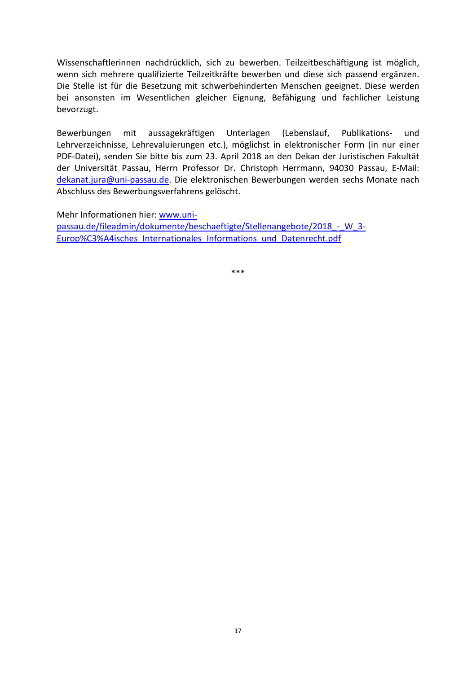Wissenschaftlerinnen nachdrücklich, sich zu bewerben. Teilzeitbeschäftigung ist möglich, wenn sich mehrere qualifizierte Teilzeitkräfte bewerben und diese sich passend ergänzen. Die Stelle ist für die Besetzung mit schwerbehinderten Menschen geeignet. Diese werden bei ansonsten im Wesentlichen gleicher Eignung, Befähigung und fachlicher Leistung bevorzugt.

Bewerbungen mit aussagekräftigen Unterlagen (Lebenslauf, Publikations- und Lehrverzeichnisse, Lehrevaluierungen etc.), möglichst in elektronischer Form (in nur einer PDF-Datei), senden Sie bitte bis zum 23. April 2018 an den Dekan der Juristischen Fakultät der Universität Passau, Herrn Professor Dr. Christoph Herrmann, 94030 Passau, E-Mail: [dekanat.jura@uni-passau.de.](mailto:dekanat.jura@uni-passau.de) Die elektronischen Bewerbungen werden sechs Monate nach Abschluss des Bewerbungsverfahrens gelöscht.

Mehr Informationen hier[: www.uni-](http://www.uni-passau.de/fileadmin/dokumente/beschaeftigte/Stellenangebote/2018_-_W_3-Europ%C3%A4isches_Internationales_Informations_und_Datenrecht.pdf)

[passau.de/fileadmin/dokumente/beschaeftigte/Stellenangebote/2018\\_-\\_W\\_3-](http://www.uni-passau.de/fileadmin/dokumente/beschaeftigte/Stellenangebote/2018_-_W_3-Europ%C3%A4isches_Internationales_Informations_und_Datenrecht.pdf) [Europ%C3%A4isches\\_Internationales\\_Informations\\_und\\_Datenrecht.pdf](http://www.uni-passau.de/fileadmin/dokumente/beschaeftigte/Stellenangebote/2018_-_W_3-Europ%C3%A4isches_Internationales_Informations_und_Datenrecht.pdf)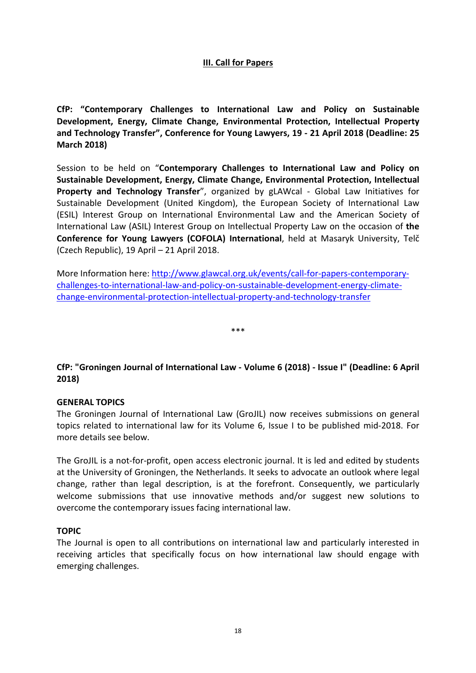#### **III. Call for Papers**

<span id="page-20-1"></span><span id="page-20-0"></span>**CfP: "Contemporary Challenges to International Law and Policy on Sustainable Development, Energy, Climate Change, Environmental Protection, Intellectual Property and Technology Transfer", Conference for Young Lawyers, 19 - 21 April 2018 (Deadline: 25 March 2018)**

Session to be held on "**Contemporary Challenges to International Law and Policy on Sustainable Development, Energy, Climate Change, Environmental Protection, Intellectual Property and Technology Transfer**", organized by gLAWcal - Global Law Initiatives for Sustainable Development (United Kingdom), the European Society of International Law (ESIL) Interest Group on International Environmental Law and the American Society of International Law (ASIL) Interest Group on Intellectual Property Law on the occasion of **the Conference for Young Lawyers (COFOLA) International**, held at Masaryk University, Telč (Czech Republic), 19 April – 21 April 2018.

More Information here[: http://www.glawcal.org.uk/events/call-for-papers-contemporary](http://www.glawcal.org.uk/events/call-for-papers-contemporary-challenges-to-international-law-and-policy-on-sustainable-development-energy-climate-change-environmental-protection-intellectual-property-and-technology-transfer)[challenges-to-international-law-and-policy-on-sustainable-development-energy-climate](http://www.glawcal.org.uk/events/call-for-papers-contemporary-challenges-to-international-law-and-policy-on-sustainable-development-energy-climate-change-environmental-protection-intellectual-property-and-technology-transfer)[change-environmental-protection-intellectual-property-and-technology-transfer](http://www.glawcal.org.uk/events/call-for-papers-contemporary-challenges-to-international-law-and-policy-on-sustainable-development-energy-climate-change-environmental-protection-intellectual-property-and-technology-transfer)

\*\*\*

# <span id="page-20-2"></span>**CfP: "Groningen Journal of International Law - Volume 6 (2018) - Issue I" (Deadline: 6 April 2018)**

#### **GENERAL TOPICS**

The Groningen Journal of International Law (GroJIL) now receives submissions on general topics related to international law for its Volume 6, Issue I to be published mid-2018. For more details see below.

The GroJIL is a not-for-profit, open access electronic journal. It is led and edited by students at the University of Groningen, the Netherlands. It seeks to advocate an outlook where legal change, rather than legal description, is at the forefront. Consequently, we particularly welcome submissions that use innovative methods and/or suggest new solutions to overcome the contemporary issues facing international law.

#### **TOPIC**

The Journal is open to all contributions on international law and particularly interested in receiving articles that specifically focus on how international law should engage with emerging challenges.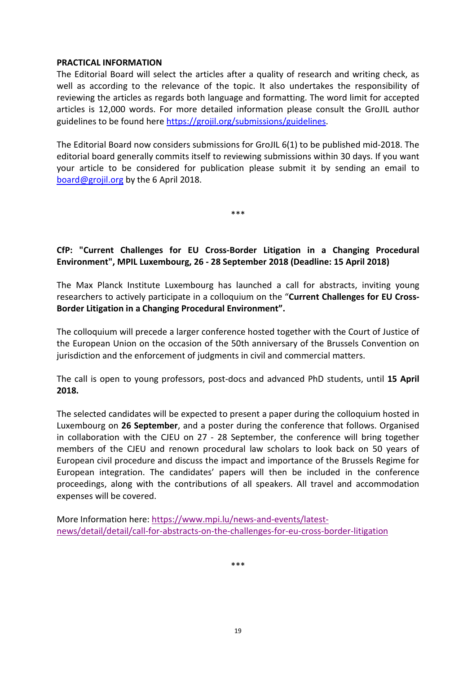#### **PRACTICAL INFORMATION**

The Editorial Board will select the articles after a quality of research and writing check, as well as according to the relevance of the topic. It also undertakes the responsibility of reviewing the articles as regards both language and formatting. The word limit for accepted articles is 12,000 words. For more detailed information please consult the GroJIL author guidelines to be found here [https://grojil.org/submissions/guidelines.](https://grojil.org/submissions/guidelines)

The Editorial Board now considers submissions for GroJIL 6(1) to be published mid-2018. The editorial board generally commits itself to reviewing submissions within 30 days. If you want your article to be considered for publication please submit it by sending an email to [board@grojil.org](mailto:board@grojil.org) by the 6 April 2018.

\*\*\*

# <span id="page-21-0"></span>**CfP: "Current Challenges for EU Cross-Border Litigation in a Changing Procedural Environment", MPIL Luxembourg, 26 - 28 September 2018 (Deadline: 15 April 2018)**

The Max Planck Institute Luxembourg has launched a call for abstracts, inviting young researchers to actively participate in a colloquium on the "**Current Challenges for EU Cross-Border Litigation in a Changing Procedural Environment".**

The colloquium will precede a larger conference hosted together with the Court of Justice of the European Union on the occasion of the 50th anniversary of the Brussels Convention on jurisdiction and the enforcement of judgments in civil and commercial matters.

The call is open to young professors, post-docs and advanced PhD students, until **15 April 2018.**

The selected candidates will be expected to present a paper during the colloquium hosted in Luxembourg on **26 September**, and a poster during the conference that follows. Organised in collaboration with the CJEU on 27 - 28 September, the conference will bring together members of the CJEU and renown procedural law scholars to look back on 50 years of European civil procedure and discuss the impact and importance of the Brussels Regime for European integration. The candidates' papers will then be included in the conference proceedings, along with the contributions of all speakers. All travel and accommodation expenses will be covered.

More Information here[: https://www.mpi.lu/news-and-events/latest](https://www.mpi.lu/news-and-events/latest-news/detail/detail/call-for-abstracts-on-the-challenges-for-eu-cross-border-litigation)[news/detail/detail/call-for-abstracts-on-the-challenges-for-eu-cross-border-litigation](https://www.mpi.lu/news-and-events/latest-news/detail/detail/call-for-abstracts-on-the-challenges-for-eu-cross-border-litigation)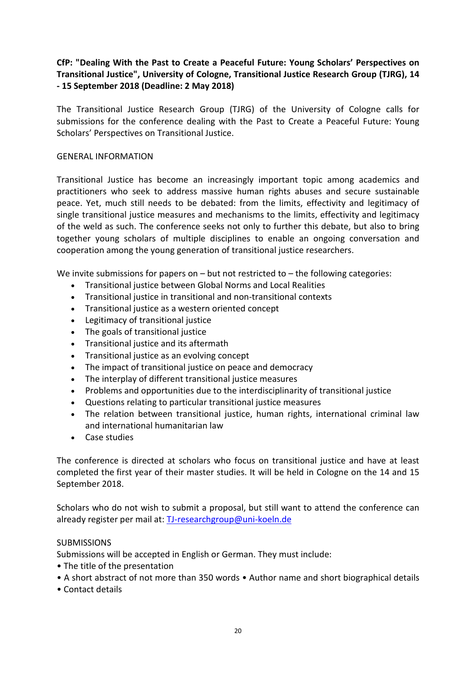# <span id="page-22-0"></span>**CfP: "Dealing With the Past to Create a Peaceful Future: Young Scholars' Perspectives on Transitional Justice", University of Cologne, Transitional Justice Research Group (TJRG), 14 - 15 September 2018 (Deadline: 2 May 2018)**

The Transitional Justice Research Group (TJRG) of the University of Cologne calls for submissions for the conference dealing with the Past to Create a Peaceful Future: Young Scholars' Perspectives on Transitional Justice.

#### GENERAL INFORMATION

Transitional Justice has become an increasingly important topic among academics and practitioners who seek to address massive human rights abuses and secure sustainable peace. Yet, much still needs to be debated: from the limits, effectivity and legitimacy of single transitional justice measures and mechanisms to the limits, effectivity and legitimacy of the weld as such. The conference seeks not only to further this debate, but also to bring together young scholars of multiple disciplines to enable an ongoing conversation and cooperation among the young generation of transitional justice researchers.

We invite submissions for papers on  $-$  but not restricted to  $-$  the following categories:

- Transitional justice between Global Norms and Local Realities
- Transitional justice in transitional and non-transitional contexts
- Transitional justice as a western oriented concept
- Legitimacy of transitional justice
- The goals of transitional justice
- Transitional justice and its aftermath
- Transitional justice as an evolving concept
- The impact of transitional justice on peace and democracy
- The interplay of different transitional justice measures
- Problems and opportunities due to the interdisciplinarity of transitional justice
- Questions relating to particular transitional justice measures
- The relation between transitional justice, human rights, international criminal law and international humanitarian law
- Case studies

The conference is directed at scholars who focus on transitional justice and have at least completed the first year of their master studies. It will be held in Cologne on the 14 and 15 September 2018.

Scholars who do not wish to submit a proposal, but still want to attend the conference can already register per mail at: [TJ-researchgroup@uni-koeln.de](mailto:TJ-researchgroup@uni-koeln.de)

#### **SUBMISSIONS**

Submissions will be accepted in English or German. They must include:

- The title of the presentation
- A short abstract of not more than 350 words Author name and short biographical details
- Contact details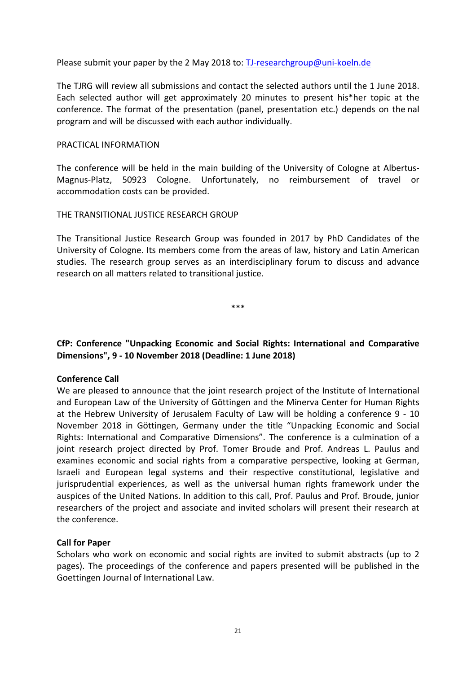Please submit your paper by the 2 May 2018 to: [TJ-researchgroup@uni-koeln.de](mailto:TJ-researchgroup@uni-koeln.de)

The TJRG will review all submissions and contact the selected authors until the 1 June 2018. Each selected author will get approximately 20 minutes to present his\*her topic at the conference. The format of the presentation (panel, presentation etc.) depends on the nal program and will be discussed with each author individually.

#### PRACTICAL INFORMATION

The conference will be held in the main building of the University of Cologne at Albertus-Magnus-Platz, 50923 Cologne. Unfortunately, no reimbursement of travel or accommodation costs can be provided.

#### THE TRANSITIONAL JUSTICE RESEARCH GROUP

The Transitional Justice Research Group was founded in 2017 by PhD Candidates of the University of Cologne. Its members come from the areas of law, history and Latin American studies. The research group serves as an interdisciplinary forum to discuss and advance research on all matters related to transitional justice.

\*\*\*

# <span id="page-23-0"></span>**CfP: Conference "Unpacking Economic and Social Rights: International and Comparative Dimensions", 9 - 10 November 2018 (Deadline: 1 June 2018)**

# **Conference Call**

We are pleased to announce that the joint research project of the Institute of International and European Law of the University of Göttingen and the Minerva Center for Human Rights at the Hebrew University of Jerusalem Faculty of Law will be holding a conference 9 - 10 November 2018 in Göttingen, Germany under the title "Unpacking Economic and Social Rights: International and Comparative Dimensions". The conference is a culmination of a joint research project directed by Prof. Tomer Broude and Prof. Andreas L. Paulus and examines economic and social rights from a comparative perspective, looking at German, Israeli and European legal systems and their respective constitutional, legislative and jurisprudential experiences, as well as the universal human rights framework under the auspices of the United Nations. In addition to this call, Prof. Paulus and Prof. Broude, junior researchers of the project and associate and invited scholars will present their research at the conference.

#### **Call for Paper**

Scholars who work on economic and social rights are invited to submit abstracts (up to 2 pages). The proceedings of the conference and papers presented will be published in the Goettingen Journal of International Law.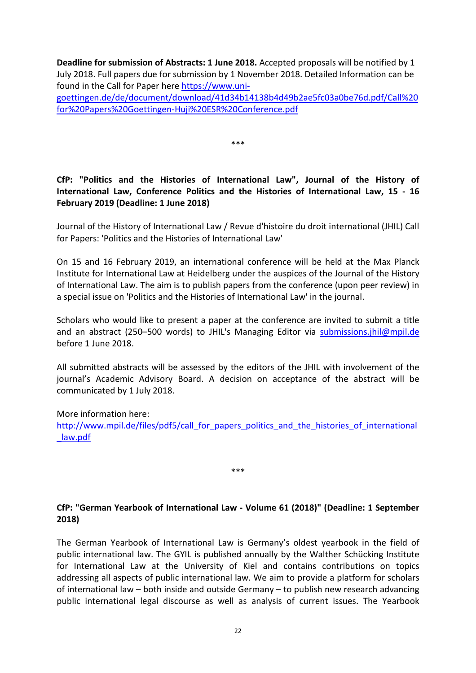**Deadline for submission of Abstracts: 1 June 2018.** Accepted proposals will be notified by 1 July 2018. Full papers due for submission by 1 November 2018. Detailed Information can be found in the Call for Paper here [https://www.uni-](https://www.uni-goettingen.de/de/document/download/41d34b14138b4d49b2ae5fc03a0be76d.pdf/Call%20for%20Papers%20Goettingen-Huji%20ESR%20Conference.pdf)

[goettingen.de/de/document/download/41d34b14138b4d49b2ae5fc03a0be76d.pdf/Call%20](https://www.uni-goettingen.de/de/document/download/41d34b14138b4d49b2ae5fc03a0be76d.pdf/Call%20for%20Papers%20Goettingen-Huji%20ESR%20Conference.pdf) [for%20Papers%20Goettingen-Huji%20ESR%20Conference.pdf](https://www.uni-goettingen.de/de/document/download/41d34b14138b4d49b2ae5fc03a0be76d.pdf/Call%20for%20Papers%20Goettingen-Huji%20ESR%20Conference.pdf)

\*\*\*

# <span id="page-24-0"></span>**CfP: "Politics and the Histories of International Law", Journal of the History of International Law, Conference Politics and the Histories of International Law, 15 - 16 February 2019 (Deadline: 1 June 2018)**

Journal of the History of International Law / Revue d'histoire du droit international (JHIL) Call for Papers: 'Politics and the Histories of International Law'

On 15 and 16 February 2019, an international conference will be held at the Max Planck Institute for International Law at Heidelberg under the auspices of the Journal of the History of International Law. The aim is to publish papers from the conference (upon peer review) in a special issue on 'Politics and the Histories of International Law' in the journal.

Scholars who would like to present a paper at the conference are invited to submit a title and an abstract (250–500 words) to JHIL's Managing Editor via submissions.jhil@mpil.de before 1 June 2018.

All submitted abstracts will be assessed by the editors of the JHIL with involvement of the journal's Academic Advisory Board. A decision on acceptance of the abstract will be communicated by 1 July 2018.

# More information here:

[http://www.mpil.de/files/pdf5/call\\_for\\_papers\\_politics\\_and\\_the\\_histories\\_of\\_international](http://www.mpil.de/files/pdf5/call_for_papers_politics_and_the_histories_of_international_law.pdf) [\\_law.pdf](http://www.mpil.de/files/pdf5/call_for_papers_politics_and_the_histories_of_international_law.pdf)

\*\*\*

# <span id="page-24-1"></span>**CfP: "German Yearbook of International Law - Volume 61 (2018)" (Deadline: 1 September 2018)**

The German Yearbook of International Law is Germany's oldest yearbook in the field of public international law. The GYIL is published annually by the Walther Schücking Institute for International Law at the University of Kiel and contains contributions on topics addressing all aspects of public international law. We aim to provide a platform for scholars of international law – both inside and outside Germany – to publish new research advancing public international legal discourse as well as analysis of current issues. The Yearbook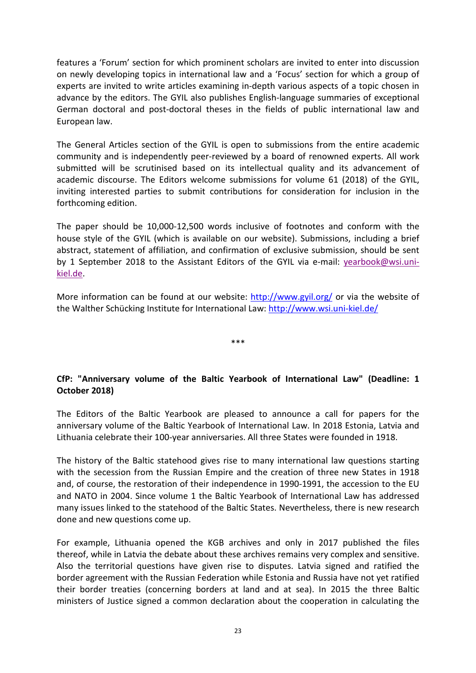features a 'Forum' section for which prominent scholars are invited to enter into discussion on newly developing topics in international law and a 'Focus' section for which a group of experts are invited to write articles examining in-depth various aspects of a topic chosen in advance by the editors. The GYIL also publishes English-language summaries of exceptional German doctoral and post-doctoral theses in the fields of public international law and European law.

The General Articles section of the GYIL is open to submissions from the entire academic community and is independently peer-reviewed by a board of renowned experts. All work submitted will be scrutinised based on its intellectual quality and its advancement of academic discourse. The Editors welcome submissions for volume 61 (2018) of the GYIL, inviting interested parties to submit contributions for consideration for inclusion in the forthcoming edition.

The paper should be 10,000-12,500 words inclusive of footnotes and conform with the house style of the GYIL (which is available on our website). Submissions, including a brief abstract, statement of affiliation, and confirmation of exclusive submission, should be sent by 1 September 2018 to the Assistant Editors of the GYIL via e-mail: [yearbook@wsi.uni](mailto:yearbook@wsi.uni%E2%80%90kiel.de)[kiel.de.](mailto:yearbook@wsi.uni%E2%80%90kiel.de)

More information can be found at our website:<http://www.gyil.org/> or via the website of the Walther Schücking Institute for International Law: [http://www.wsi.uni-kiel.de/](http://www.wsi.uni%E2%80%90kiel.de/)

\*\*\*

# <span id="page-25-0"></span>**CfP: "Anniversary volume of the Baltic Yearbook of International Law" (Deadline: 1 October 2018)**

The Editors of the Baltic Yearbook are pleased to announce a call for papers for the anniversary volume of the Baltic Yearbook of International Law. In 2018 Estonia, Latvia and Lithuania celebrate their 100-year anniversaries. All three States were founded in 1918.

The history of the Baltic statehood gives rise to many international law questions starting with the secession from the Russian Empire and the creation of three new States in 1918 and, of course, the restoration of their independence in 1990-1991, the accession to the EU and NATO in 2004. Since volume 1 the Baltic Yearbook of International Law has addressed many issues linked to the statehood of the Baltic States. Nevertheless, there is new research done and new questions come up.

For example, Lithuania opened the KGB archives and only in 2017 published the files thereof, while in Latvia the debate about these archives remains very complex and sensitive. Also the territorial questions have given rise to disputes. Latvia signed and ratified the border agreement with the Russian Federation while Estonia and Russia have not yet ratified their border treaties (concerning borders at land and at sea). In 2015 the three Baltic ministers of Justice signed a common declaration about the cooperation in calculating the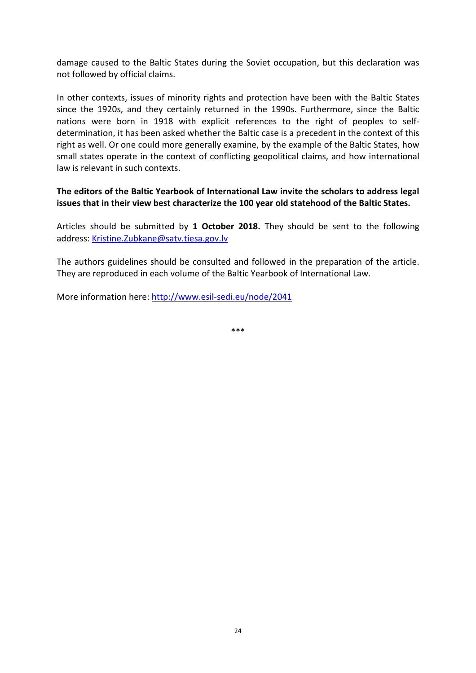damage caused to the Baltic States during the Soviet occupation, but this declaration was not followed by official claims.

In other contexts, issues of minority rights and protection have been with the Baltic States since the 1920s, and they certainly returned in the 1990s. Furthermore, since the Baltic nations were born in 1918 with explicit references to the right of peoples to selfdetermination, it has been asked whether the Baltic case is a precedent in the context of this right as well. Or one could more generally examine, by the example of the Baltic States, how small states operate in the context of conflicting geopolitical claims, and how international law is relevant in such contexts.

**The editors of the Baltic Yearbook of International Law invite the scholars to address legal issues that in their view best characterize the 100 year old statehood of the Baltic States.**

Articles should be submitted by **1 October 2018.** They should be sent to the following address[: Kristine.Zubkane@satv.tiesa.gov.lv](mailto:Kristine.Zubkane@satv.tiesa.gov.lv)

The authors guidelines should be consulted and followed in the preparation of the article. They are reproduced in each volume of the Baltic Yearbook of International Law.

More information here:<http://www.esil-sedi.eu/node/2041>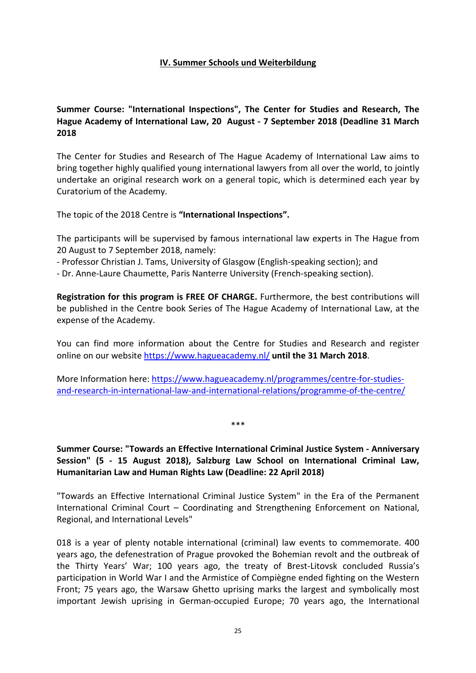#### **IV. Summer Schools und Weiterbildung**

# <span id="page-27-1"></span><span id="page-27-0"></span>**Summer Course: "International Inspections", The Center for Studies and Research, The Hague Academy of International Law, 20 August - 7 September 2018 (Deadline 31 March 2018**

The Center for Studies and Research of The Hague Academy of International Law aims to bring together highly qualified young international lawyers from all over the world, to jointly undertake an original research work on a general topic, which is determined each year by Curatorium of the Academy.

The topic of the 2018 Centre is **"International Inspections".**

The participants will be supervised by famous international law experts in The Hague from 20 August to 7 September 2018, namely:

- Professor Christian J. Tams, University of Glasgow (English-speaking section); and

- Dr. Anne-Laure Chaumette, Paris Nanterre University (French-speaking section).

**Registration for this program is FREE OF CHARGE.** Furthermore, the best contributions will be published in the Centre book Series of The Hague Academy of International Law, at the expense of the Academy.

You can find more information about the Centre for Studies and Research and register online on our website<https://www.hagueacademy.nl/> **until the 31 March 2018**.

More Information here[: https://www.hagueacademy.nl/programmes/centre-for-studies](https://www.hagueacademy.nl/programmes/centre-for-studies-and-research-in-international-law-and-international-relations/programme-of-the-centre/)[and-research-in-international-law-and-international-relations/programme-of-the-centre/](https://www.hagueacademy.nl/programmes/centre-for-studies-and-research-in-international-law-and-international-relations/programme-of-the-centre/)

<span id="page-27-2"></span>**Summer Course: "Towards an Effective International Criminal Justice System - Anniversary Session" (5 - 15 August 2018), Salzburg Law School on International Criminal Law, Humanitarian Law and Human Rights Law (Deadline: 22 April 2018)**

\*\*\*

"Towards an Effective International Criminal Justice System" in the Era of the Permanent International Criminal Court – Coordinating and Strengthening Enforcement on National, Regional, and International Levels"

018 is a year of plenty notable international (criminal) law events to commemorate. 400 years ago, the defenestration of Prague provoked the Bohemian revolt and the outbreak of the Thirty Years' War; 100 years ago, the treaty of Brest-Litovsk concluded Russia's participation in World War I and the Armistice of Compiègne ended fighting on the Western Front; 75 years ago, the Warsaw Ghetto uprising marks the largest and symbolically most important Jewish uprising in German-occupied Europe; 70 years ago, the International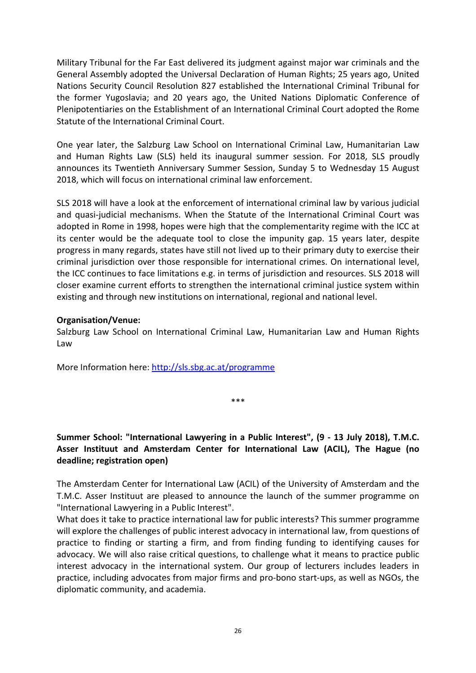Military Tribunal for the Far East delivered its judgment against major war criminals and the General Assembly adopted the Universal Declaration of Human Rights; 25 years ago, United Nations Security Council Resolution 827 established the International Criminal Tribunal for the former Yugoslavia; and 20 years ago, the United Nations Diplomatic Conference of Plenipotentiaries on the Establishment of an International Criminal Court adopted the Rome Statute of the International Criminal Court.

One year later, the Salzburg Law School on International Criminal Law, Humanitarian Law and Human Rights Law (SLS) held its inaugural summer session. For 2018, SLS proudly announces its Twentieth Anniversary Summer Session, Sunday 5 to Wednesday 15 August 2018, which will focus on international criminal law enforcement.

SLS 2018 will have a look at the enforcement of international criminal law by various judicial and quasi-judicial mechanisms. When the Statute of the International Criminal Court was adopted in Rome in 1998, hopes were high that the complementarity regime with the ICC at its center would be the adequate tool to close the impunity gap. 15 years later, despite progress in many regards, states have still not lived up to their primary duty to exercise their criminal jurisdiction over those responsible for international crimes. On international level, the ICC continues to face limitations e.g. in terms of jurisdiction and resources. SLS 2018 will closer examine current efforts to strengthen the international criminal justice system within existing and through new institutions on international, regional and national level.

#### **Organisation/Venue:**

Salzburg Law School on International Criminal Law, Humanitarian Law and Human Rights Law

More Information here[: http://sls.sbg.ac.at/programme](http://sls.sbg.ac.at/programme)

<span id="page-28-0"></span>**Summer School: "International Lawyering in a Public Interest", (9 - 13 July 2018), T.M.C. Asser Instituut and Amsterdam Center for International Law (ACIL), The Hague (no deadline; registration open)**

\*\*\*

The Amsterdam Center for International Law (ACIL) of the University of Amsterdam and the T.M.C. Asser Instituut are pleased to announce the launch of the summer programme on "International Lawyering in a Public Interest".

What does it take to practice international law for public interests? This summer programme will explore the challenges of public interest advocacy in international law, from questions of practice to finding or starting a firm, and from finding funding to identifying causes for advocacy. We will also raise critical questions, to challenge what it means to practice public interest advocacy in the international system. Our group of lecturers includes leaders in practice, including advocates from major firms and pro-bono start-ups, as well as NGOs, the diplomatic community, and academia.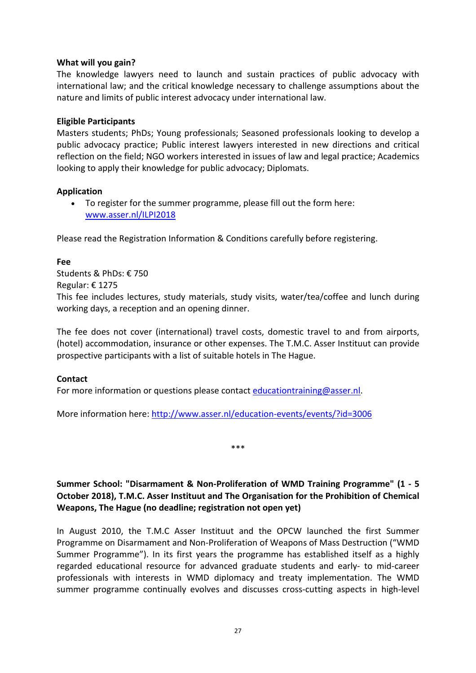#### **What will you gain?**

The knowledge lawyers need to launch and sustain practices of public advocacy with international law; and the critical knowledge necessary to challenge assumptions about the nature and limits of public interest advocacy under international law.

#### **Eligible Participants**

Masters students; PhDs; Young professionals; Seasoned professionals looking to develop a public advocacy practice; Public interest lawyers interested in new directions and critical reflection on the field; NGO workers interested in issues of law and legal practice; Academics looking to apply their knowledge for public advocacy; Diplomats.

#### **Application**

• To register for the summer programme, please fill out the form here: [www.asser.nl/ILPI2018](http://www.asser.nl/ILPI2018)

Please read the Registration Information & Conditions carefully before registering.

#### **Fee**

Students & PhDs: € 750 Regular: € 1275 This fee includes lectures, study materials, study visits, water/tea/coffee and lunch during working days, a reception and an opening dinner.

The fee does not cover (international) travel costs, domestic travel to and from airports, (hotel) accommodation, insurance or other expenses. The T.M.C. Asser Instituut can provide prospective participants with a list of suitable hotels in The Hague.

# **Contact**

For more information or questions please contact [educationtraining@asser.nl.](mailto:educationtraining@asser.nl)

More information here:<http://www.asser.nl/education-events/events/?id=3006>

\*\*\*

# <span id="page-29-0"></span>**Summer School: "Disarmament & Non-Proliferation of WMD Training Programme" (1 - 5 October 2018), T.M.C. Asser Instituut and The Organisation for the Prohibition of Chemical Weapons, The Hague (no deadline; registration not open yet)**

In August 2010, the T.M.C Asser Instituut and the OPCW launched the first Summer Programme on Disarmament and Non-Proliferation of Weapons of Mass Destruction ("WMD Summer Programme"). In its first years the programme has established itself as a highly regarded educational resource for advanced graduate students and early- to mid-career professionals with interests in WMD diplomacy and treaty implementation. The WMD summer programme continually evolves and discusses cross-cutting aspects in high-level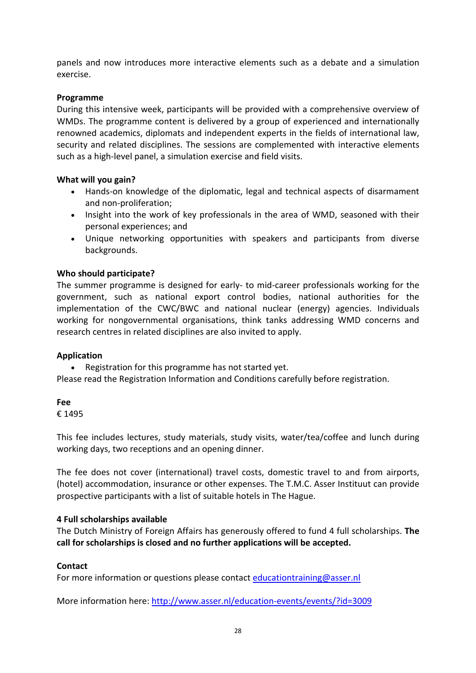panels and now introduces more interactive elements such as a debate and a simulation exercise.

### **Programme**

During this intensive week, participants will be provided with a comprehensive overview of WMDs. The programme content is delivered by a group of experienced and internationally renowned academics, diplomats and independent experts in the fields of international law, security and related disciplines. The sessions are complemented with interactive elements such as a high-level panel, a simulation exercise and field visits.

#### **What will you gain?**

- Hands-on knowledge of the diplomatic, legal and technical aspects of disarmament and non-proliferation;
- Insight into the work of key professionals in the area of WMD, seasoned with their personal experiences; and
- Unique networking opportunities with speakers and participants from diverse backgrounds.

# **Who should participate?**

The summer programme is designed for early- to mid-career professionals working for the government, such as national export control bodies, national authorities for the implementation of the CWC/BWC and national nuclear (energy) agencies. Individuals working for nongovernmental organisations, think tanks addressing WMD concerns and research centres in related disciplines are also invited to apply.

#### **Application**

• Registration for this programme has not started yet.

Please read the Registration Information and Conditions carefully before registration.

# **Fee**

€ 1495

This fee includes lectures, study materials, study visits, water/tea/coffee and lunch during working days, two receptions and an opening dinner.

The fee does not cover (international) travel costs, domestic travel to and from airports, (hotel) accommodation, insurance or other expenses. The T.M.C. Asser Instituut can provide prospective participants with a list of suitable hotels in The Hague.

#### **4 Full scholarships available**

The Dutch Ministry of Foreign Affairs has generously offered to fund 4 full scholarships. **The call for scholarships is closed and no further applications will be accepted.**

# **Contact**

For more information or questions please contact [educationtraining@asser.nl](mailto:educationtraining@asser.nl)

More information here:<http://www.asser.nl/education-events/events/?id=3009>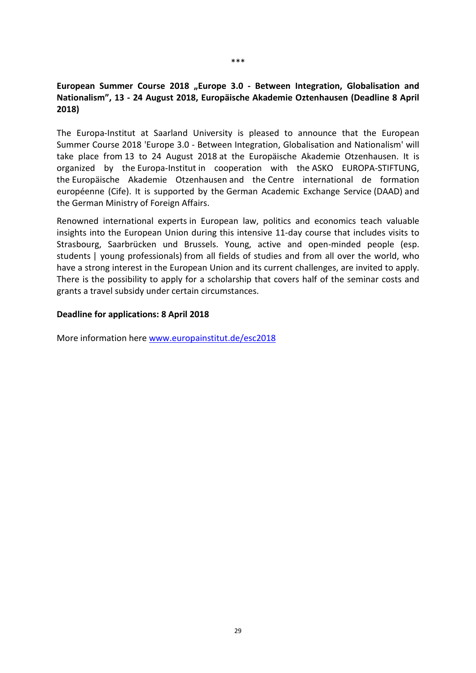# <span id="page-31-0"></span>European Summer Course 2018 "Europe 3.0 - Between Integration, Globalisation and **Nationalism", 13 - 24 August 2018, Europäische Akademie Oztenhausen (Deadline 8 April 2018)**

The Europa-Institut at Saarland University is pleased to announce that the European Summer Course 2018 'Europe 3.0 - Between Integration, Globalisation and Nationalism' will take place from 13 to 24 August 2018 at the Europäische Akademie Otzenhausen. It is organized by the Europa-Institut in cooperation with the ASKO EUROPA-STIFTUNG, the Europäische Akademie Otzenhausen and the Centre international de formation européenne (Cife). It is supported by the German Academic Exchange Service (DAAD) and the German Ministry of Foreign Affairs.

Renowned international experts in European law, politics and economics teach valuable insights into the European Union during this intensive 11-day course that includes visits to Strasbourg, Saarbrücken und Brussels. Young, active and open-minded people (esp. students | young professionals) from all fields of studies and from all over the world, who have a strong interest in the European Union and its current challenges, are invited to apply. There is the possibility to apply for a scholarship that covers half of the seminar costs and grants a travel subsidy under certain circumstances.

#### **Deadline for applications: 8 April 2018**

More information here [www.europainstitut.de/esc2018](http://www.europainstitut.de/esc2018)